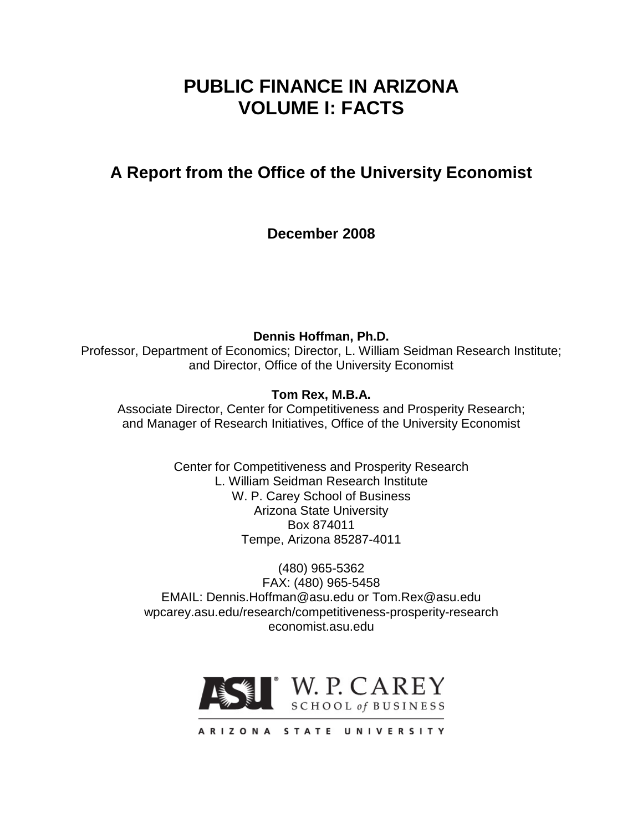# **PUBLIC FINANCE IN ARIZONA VOLUME I: FACTS**

# **A Report from the Office of the University Economist**

**December 2008**

**Dennis Hoffman, Ph.D.** Professor, Department of Economics; Director, L. William Seidman Research Institute; and Director, Office of the University Economist

**Tom Rex, M.B.A.**

Associate Director, Center for Competitiveness and Prosperity Research; and Manager of Research Initiatives, Office of the University Economist

> Center for Competitiveness and Prosperity Research L. William Seidman Research Institute W. P. Carey School of Business Arizona State University Box 874011 Tempe, Arizona 85287-4011

(480) 965-5362 FAX: (480) 965-5458 EMAIL: Dennis.Hoffman@asu.edu or Tom.Rex@asu.edu wpcarey.asu.edu/research/competitiveness-prosperity-research economist.asu.edu

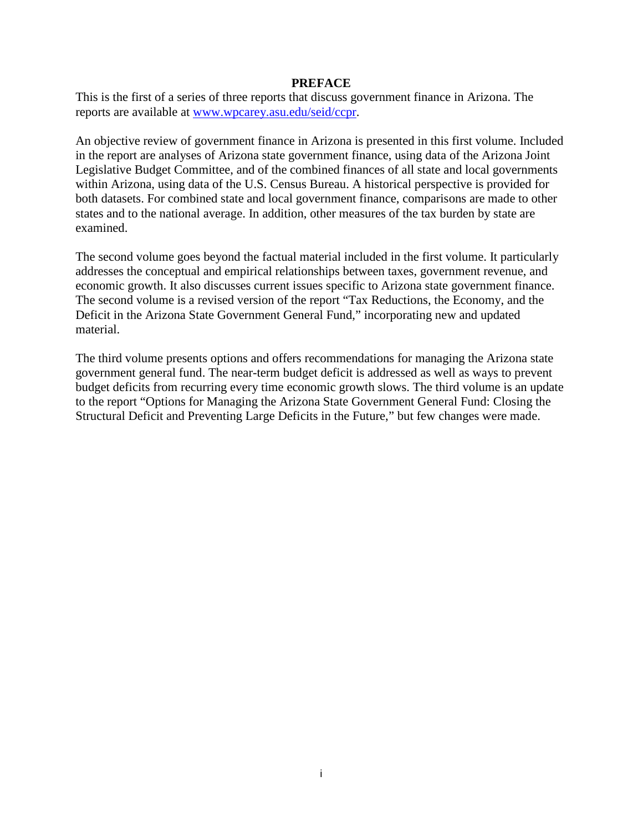#### **PREFACE**

This is the first of a series of three reports that discuss government finance in Arizona. The reports are available at www.wpcarey.asu.edu/seid/ccpr.

An objective review of government finance in Arizona is presented in this first volume. Included in the report are analyses of Arizona state government finance, using data of the Arizona Joint Legislative Budget Committee, and of the combined finances of all state and local governments within Arizona, using data of the U.S. Census Bureau. A historical perspective is provided for both datasets. For combined state and local government finance, comparisons are made to other states and to the national average. In addition, other measures of the tax burden by state are examined.

The second volume goes beyond the factual material included in the first volume. It particularly addresses the conceptual and empirical relationships between taxes, government revenue, and economic growth. It also discusses current issues specific to Arizona state government finance. The second volume is a revised version of the report "Tax Reductions, the Economy, and the Deficit in the Arizona State Government General Fund," incorporating new and updated material.

The third volume presents options and offers recommendations for managing the Arizona state government general fund. The near-term budget deficit is addressed as well as ways to prevent budget deficits from recurring every time economic growth slows. The third volume is an update to the report "Options for Managing the Arizona State Government General Fund: Closing the Structural Deficit and Preventing Large Deficits in the Future," but few changes were made.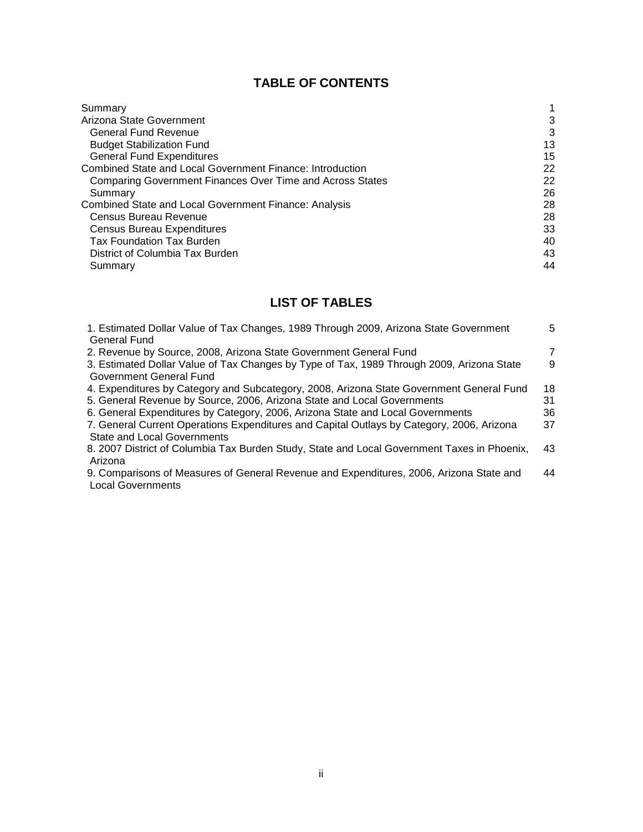# **TABLE OF CONTENTS**

| Summary                                                          |    |
|------------------------------------------------------------------|----|
| Arizona State Government                                         | 3  |
| <b>General Fund Revenue</b>                                      | 3  |
| <b>Budget Stabilization Fund</b>                                 | 13 |
| <b>General Fund Expenditures</b>                                 | 15 |
| <b>Combined State and Local Government Finance: Introduction</b> | 22 |
| Comparing Government Finances Over Time and Across States        | 22 |
| Summary                                                          | 26 |
| <b>Combined State and Local Government Finance: Analysis</b>     | 28 |
| Census Bureau Revenue                                            | 28 |
| <b>Census Bureau Expenditures</b>                                | 33 |
| <b>Tax Foundation Tax Burden</b>                                 | 40 |
| District of Columbia Tax Burden                                  | 43 |
| Summary                                                          | 44 |

# **LIST OF TABLES**

| 1. Estimated Dollar Value of Tax Changes, 1989 Through 2009, Arizona State Government       | 5  |
|---------------------------------------------------------------------------------------------|----|
| General Fund                                                                                |    |
| 2. Revenue by Source, 2008, Arizona State Government General Fund                           | 7  |
| 3. Estimated Dollar Value of Tax Changes by Type of Tax, 1989 Through 2009, Arizona State   | 9  |
| Government General Fund                                                                     |    |
| 4. Expenditures by Category and Subcategory, 2008, Arizona State Government General Fund    | 18 |
| 5. General Revenue by Source, 2006, Arizona State and Local Governments                     | 31 |
| 6. General Expenditures by Category, 2006, Arizona State and Local Governments              | 36 |
| 7. General Current Operations Expenditures and Capital Outlays by Category, 2006, Arizona   | 37 |
| <b>State and Local Governments</b>                                                          |    |
| 8. 2007 District of Columbia Tax Burden Study, State and Local Government Taxes in Phoenix, | 43 |
| Arizona                                                                                     |    |
| 9. Comparisons of Measures of General Revenue and Expenditures, 2006, Arizona State and     | 44 |
| <b>Local Governments</b>                                                                    |    |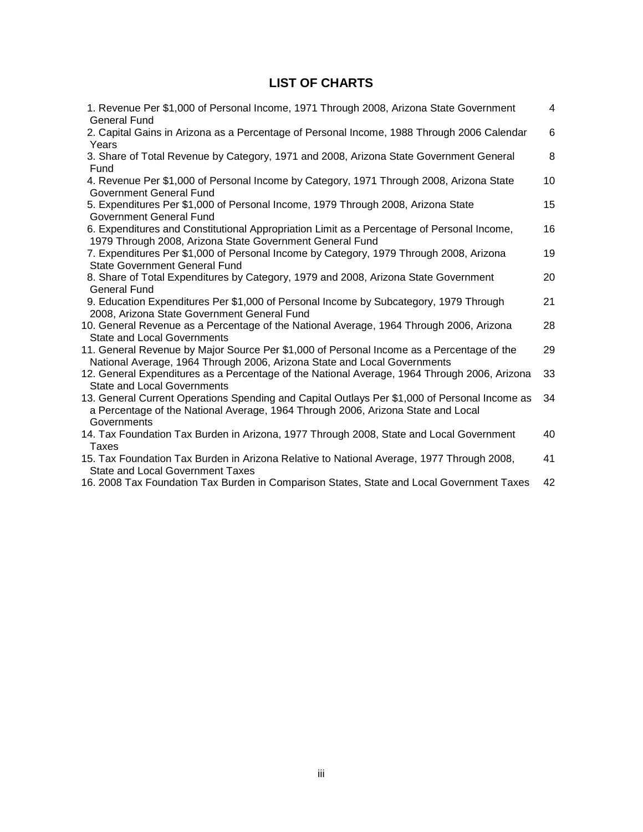# **LIST OF CHARTS**

| 1. Revenue Per \$1,000 of Personal Income, 1971 Through 2008, Arizona State Government                                                                                                           | 4  |
|--------------------------------------------------------------------------------------------------------------------------------------------------------------------------------------------------|----|
| <b>General Fund</b><br>2. Capital Gains in Arizona as a Percentage of Personal Income, 1988 Through 2006 Calendar                                                                                | 6  |
| Years<br>3. Share of Total Revenue by Category, 1971 and 2008, Arizona State Government General                                                                                                  | 8  |
| Fund<br>4. Revenue Per \$1,000 of Personal Income by Category, 1971 Through 2008, Arizona State<br><b>Government General Fund</b>                                                                | 10 |
| 5. Expenditures Per \$1,000 of Personal Income, 1979 Through 2008, Arizona State<br>Government General Fund                                                                                      | 15 |
| 6. Expenditures and Constitutional Appropriation Limit as a Percentage of Personal Income,<br>1979 Through 2008, Arizona State Government General Fund                                           | 16 |
| 7. Expenditures Per \$1,000 of Personal Income by Category, 1979 Through 2008, Arizona<br><b>State Government General Fund</b>                                                                   | 19 |
| 8. Share of Total Expenditures by Category, 1979 and 2008, Arizona State Government<br><b>General Fund</b>                                                                                       | 20 |
| 9. Education Expenditures Per \$1,000 of Personal Income by Subcategory, 1979 Through<br>2008, Arizona State Government General Fund                                                             | 21 |
| 10. General Revenue as a Percentage of the National Average, 1964 Through 2006, Arizona<br><b>State and Local Governments</b>                                                                    | 28 |
| 11. General Revenue by Major Source Per \$1,000 of Personal Income as a Percentage of the<br>National Average, 1964 Through 2006, Arizona State and Local Governments                            | 29 |
| 12. General Expenditures as a Percentage of the National Average, 1964 Through 2006, Arizona<br><b>State and Local Governments</b>                                                               | 33 |
| 13. General Current Operations Spending and Capital Outlays Per \$1,000 of Personal Income as<br>a Percentage of the National Average, 1964 Through 2006, Arizona State and Local<br>Governments | 34 |
| 14. Tax Foundation Tax Burden in Arizona, 1977 Through 2008, State and Local Government<br><b>Taxes</b>                                                                                          | 40 |
| 15. Tax Foundation Tax Burden in Arizona Relative to National Average, 1977 Through 2008,<br><b>State and Local Government Taxes</b>                                                             | 41 |
|                                                                                                                                                                                                  |    |

16. 2008 Tax Foundation Tax Burden in Comparison States, State and Local Government Taxes 42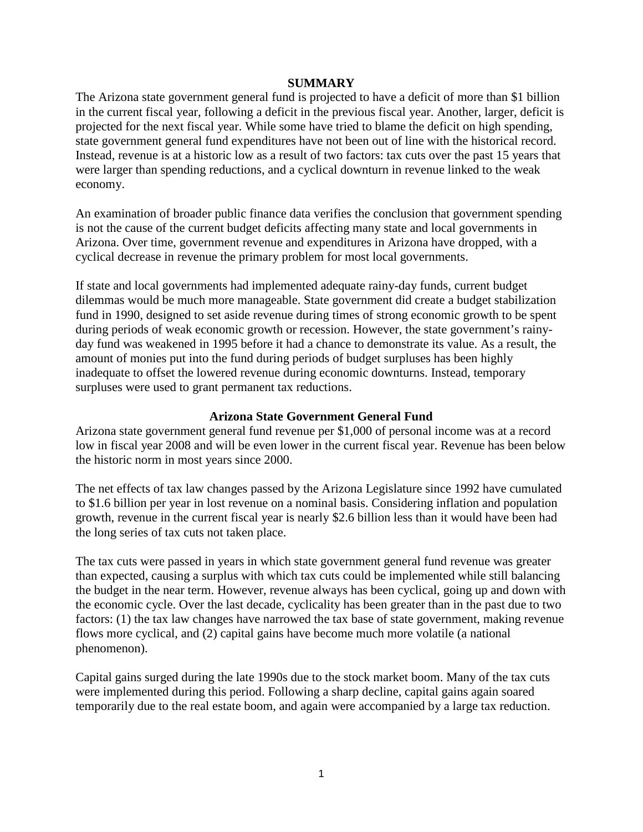#### **SUMMARY**

The Arizona state government general fund is projected to have a deficit of more than \$1 billion in the current fiscal year, following a deficit in the previous fiscal year. Another, larger, deficit is projected for the next fiscal year. While some have tried to blame the deficit on high spending, state government general fund expenditures have not been out of line with the historical record. Instead, revenue is at a historic low as a result of two factors: tax cuts over the past 15 years that were larger than spending reductions, and a cyclical downturn in revenue linked to the weak economy.

An examination of broader public finance data verifies the conclusion that government spending is not the cause of the current budget deficits affecting many state and local governments in Arizona. Over time, government revenue and expenditures in Arizona have dropped, with a cyclical decrease in revenue the primary problem for most local governments.

If state and local governments had implemented adequate rainy-day funds, current budget dilemmas would be much more manageable. State government did create a budget stabilization fund in 1990, designed to set aside revenue during times of strong economic growth to be spent during periods of weak economic growth or recession. However, the state government's rainyday fund was weakened in 1995 before it had a chance to demonstrate its value. As a result, the amount of monies put into the fund during periods of budget surpluses has been highly inadequate to offset the lowered revenue during economic downturns. Instead, temporary surpluses were used to grant permanent tax reductions.

### **Arizona State Government General Fund**

Arizona state government general fund revenue per \$1,000 of personal income was at a record low in fiscal year 2008 and will be even lower in the current fiscal year. Revenue has been below the historic norm in most years since 2000.

The net effects of tax law changes passed by the Arizona Legislature since 1992 have cumulated to \$1.6 billion per year in lost revenue on a nominal basis. Considering inflation and population growth, revenue in the current fiscal year is nearly \$2.6 billion less than it would have been had the long series of tax cuts not taken place.

The tax cuts were passed in years in which state government general fund revenue was greater than expected, causing a surplus with which tax cuts could be implemented while still balancing the budget in the near term. However, revenue always has been cyclical, going up and down with the economic cycle. Over the last decade, cyclicality has been greater than in the past due to two factors: (1) the tax law changes have narrowed the tax base of state government, making revenue flows more cyclical, and (2) capital gains have become much more volatile (a national phenomenon).

Capital gains surged during the late 1990s due to the stock market boom. Many of the tax cuts were implemented during this period. Following a sharp decline, capital gains again soared temporarily due to the real estate boom, and again were accompanied by a large tax reduction.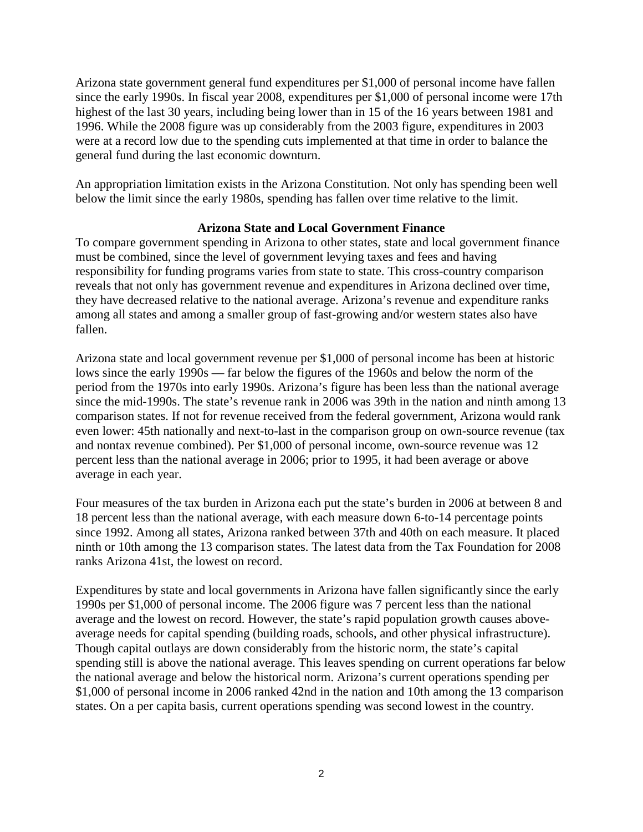Arizona state government general fund expenditures per \$1,000 of personal income have fallen since the early 1990s. In fiscal year 2008, expenditures per \$1,000 of personal income were 17th highest of the last 30 years, including being lower than in 15 of the 16 years between 1981 and 1996. While the 2008 figure was up considerably from the 2003 figure, expenditures in 2003 were at a record low due to the spending cuts implemented at that time in order to balance the general fund during the last economic downturn.

An appropriation limitation exists in the Arizona Constitution. Not only has spending been well below the limit since the early 1980s, spending has fallen over time relative to the limit.

### **Arizona State and Local Government Finance**

To compare government spending in Arizona to other states, state and local government finance must be combined, since the level of government levying taxes and fees and having responsibility for funding programs varies from state to state. This cross-country comparison reveals that not only has government revenue and expenditures in Arizona declined over time, they have decreased relative to the national average. Arizona's revenue and expenditure ranks among all states and among a smaller group of fast-growing and/or western states also have fallen.

Arizona state and local government revenue per \$1,000 of personal income has been at historic lows since the early 1990s — far below the figures of the 1960s and below the norm of the period from the 1970s into early 1990s. Arizona's figure has been less than the national average since the mid-1990s. The state's revenue rank in 2006 was 39th in the nation and ninth among 13 comparison states. If not for revenue received from the federal government, Arizona would rank even lower: 45th nationally and next-to-last in the comparison group on own-source revenue (tax and nontax revenue combined). Per \$1,000 of personal income, own-source revenue was 12 percent less than the national average in 2006; prior to 1995, it had been average or above average in each year.

Four measures of the tax burden in Arizona each put the state's burden in 2006 at between 8 and 18 percent less than the national average, with each measure down 6-to-14 percentage points since 1992. Among all states, Arizona ranked between 37th and 40th on each measure. It placed ninth or 10th among the 13 comparison states. The latest data from the Tax Foundation for 2008 ranks Arizona 41st, the lowest on record.

Expenditures by state and local governments in Arizona have fallen significantly since the early 1990s per \$1,000 of personal income. The 2006 figure was 7 percent less than the national average and the lowest on record. However, the state's rapid population growth causes aboveaverage needs for capital spending (building roads, schools, and other physical infrastructure). Though capital outlays are down considerably from the historic norm, the state's capital spending still is above the national average. This leaves spending on current operations far below the national average and below the historical norm. Arizona's current operations spending per \$1,000 of personal income in 2006 ranked 42nd in the nation and 10th among the 13 comparison states. On a per capita basis, current operations spending was second lowest in the country.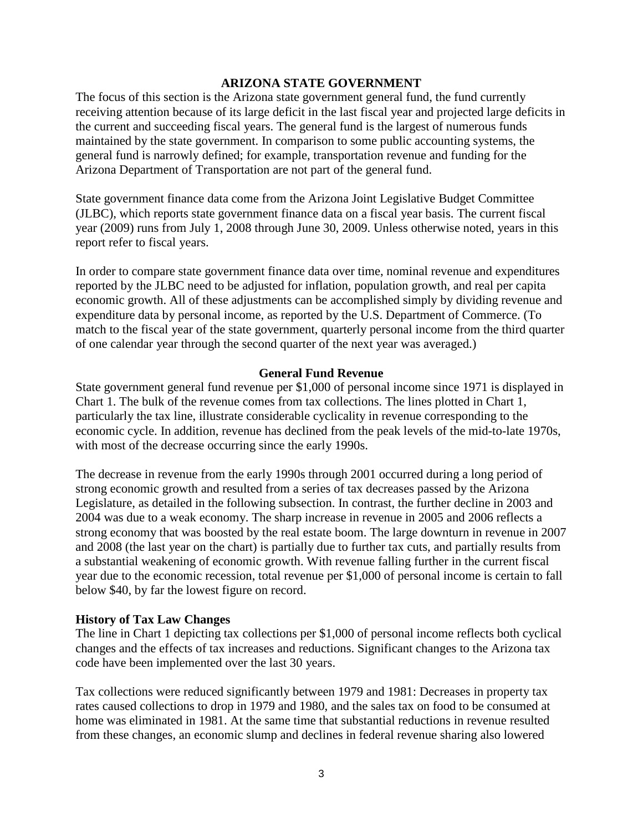#### **ARIZONA STATE GOVERNMENT**

The focus of this section is the Arizona state government general fund, the fund currently receiving attention because of its large deficit in the last fiscal year and projected large deficits in the current and succeeding fiscal years. The general fund is the largest of numerous funds maintained by the state government. In comparison to some public accounting systems, the general fund is narrowly defined; for example, transportation revenue and funding for the Arizona Department of Transportation are not part of the general fund.

State government finance data come from the Arizona Joint Legislative Budget Committee (JLBC), which reports state government finance data on a fiscal year basis. The current fiscal year (2009) runs from July 1, 2008 through June 30, 2009. Unless otherwise noted, years in this report refer to fiscal years.

In order to compare state government finance data over time, nominal revenue and expenditures reported by the JLBC need to be adjusted for inflation, population growth, and real per capita economic growth. All of these adjustments can be accomplished simply by dividing revenue and expenditure data by personal income, as reported by the U.S. Department of Commerce. (To match to the fiscal year of the state government, quarterly personal income from the third quarter of one calendar year through the second quarter of the next year was averaged.)

#### **General Fund Revenue**

State government general fund revenue per \$1,000 of personal income since 1971 is displayed in Chart 1. The bulk of the revenue comes from tax collections. The lines plotted in Chart 1, particularly the tax line, illustrate considerable cyclicality in revenue corresponding to the economic cycle. In addition, revenue has declined from the peak levels of the mid-to-late 1970s, with most of the decrease occurring since the early 1990s.

The decrease in revenue from the early 1990s through 2001 occurred during a long period of strong economic growth and resulted from a series of tax decreases passed by the Arizona Legislature, as detailed in the following subsection. In contrast, the further decline in 2003 and 2004 was due to a weak economy. The sharp increase in revenue in 2005 and 2006 reflects a strong economy that was boosted by the real estate boom. The large downturn in revenue in 2007 and 2008 (the last year on the chart) is partially due to further tax cuts, and partially results from a substantial weakening of economic growth. With revenue falling further in the current fiscal year due to the economic recession, total revenue per \$1,000 of personal income is certain to fall below \$40, by far the lowest figure on record.

#### **History of Tax Law Changes**

The line in Chart 1 depicting tax collections per \$1,000 of personal income reflects both cyclical changes and the effects of tax increases and reductions. Significant changes to the Arizona tax code have been implemented over the last 30 years.

Tax collections were reduced significantly between 1979 and 1981: Decreases in property tax rates caused collections to drop in 1979 and 1980, and the sales tax on food to be consumed at home was eliminated in 1981. At the same time that substantial reductions in revenue resulted from these changes, an economic slump and declines in federal revenue sharing also lowered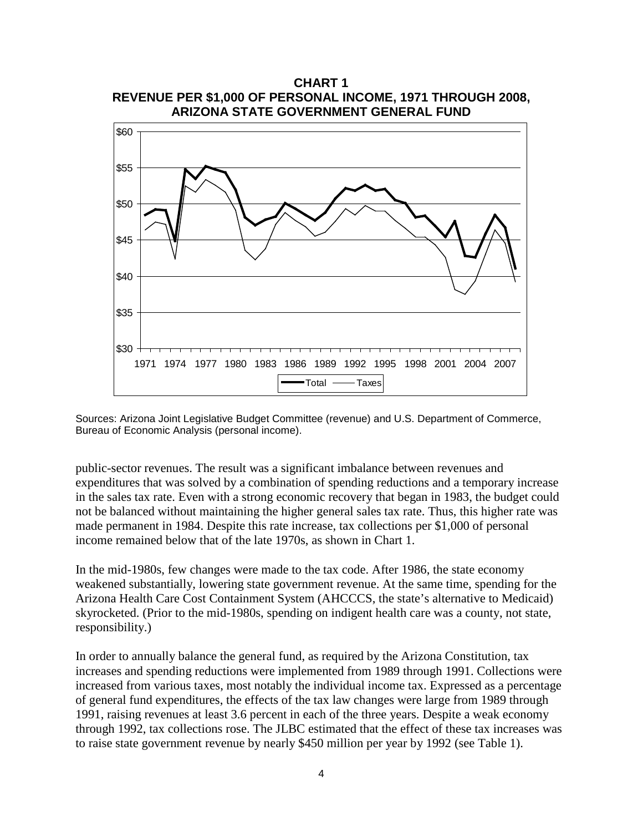



Sources: Arizona Joint Legislative Budget Committee (revenue) and U.S. Department of Commerce, Bureau of Economic Analysis (personal income).

public-sector revenues. The result was a significant imbalance between revenues and expenditures that was solved by a combination of spending reductions and a temporary increase in the sales tax rate. Even with a strong economic recovery that began in 1983, the budget could not be balanced without maintaining the higher general sales tax rate. Thus, this higher rate was made permanent in 1984. Despite this rate increase, tax collections per \$1,000 of personal income remained below that of the late 1970s, as shown in Chart 1.

In the mid-1980s, few changes were made to the tax code. After 1986, the state economy weakened substantially, lowering state government revenue. At the same time, spending for the Arizona Health Care Cost Containment System (AHCCCS, the state's alternative to Medicaid) skyrocketed. (Prior to the mid-1980s, spending on indigent health care was a county, not state, responsibility.)

In order to annually balance the general fund, as required by the Arizona Constitution, tax increases and spending reductions were implemented from 1989 through 1991. Collections were increased from various taxes, most notably the individual income tax. Expressed as a percentage of general fund expenditures, the effects of the tax law changes were large from 1989 through 1991, raising revenues at least 3.6 percent in each of the three years. Despite a weak economy through 1992, tax collections rose. The JLBC estimated that the effect of these tax increases was to raise state government revenue by nearly \$450 million per year by 1992 (see Table 1).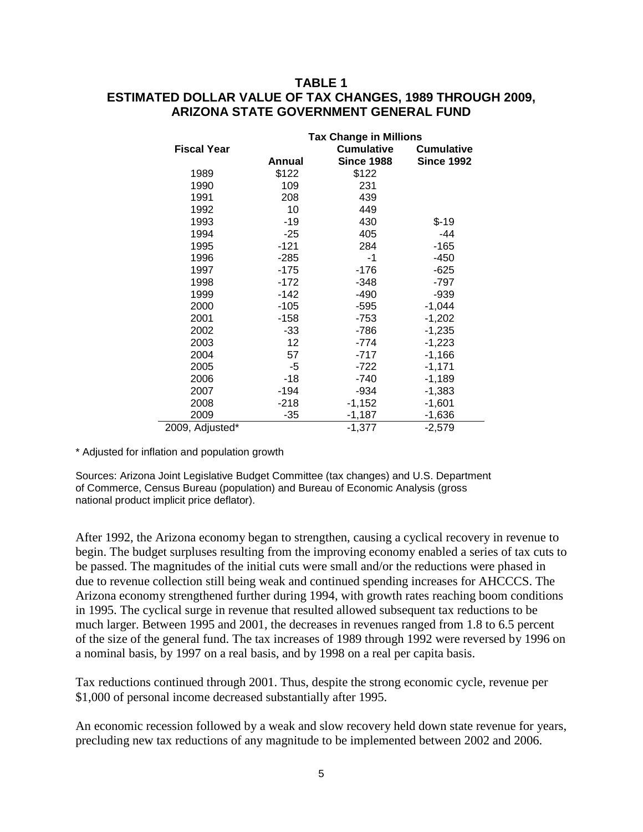# **TABLE 1 ESTIMATED DOLLAR VALUE OF TAX CHANGES, 1989 THROUGH 2009, ARIZONA STATE GOVERNMENT GENERAL FUND**

|                    | <b>Tax Change in Millions</b> |                   |                   |  |  |  |  |
|--------------------|-------------------------------|-------------------|-------------------|--|--|--|--|
| <b>Fiscal Year</b> |                               | <b>Cumulative</b> | <b>Cumulative</b> |  |  |  |  |
|                    | Annual                        | <b>Since 1988</b> | <b>Since 1992</b> |  |  |  |  |
| 1989               | \$122                         | \$122             |                   |  |  |  |  |
| 1990               | 109                           | 231               |                   |  |  |  |  |
| 1991               | 208                           | 439               |                   |  |  |  |  |
| 1992               | 10                            | 449               |                   |  |  |  |  |
| 1993               | $-19$                         | 430               | $$-19$            |  |  |  |  |
| 1994               | $-25$                         | 405               | -44               |  |  |  |  |
| 1995               | $-121$                        | 284               | $-165$            |  |  |  |  |
| 1996               | $-285$                        | -1                | -450              |  |  |  |  |
| 1997               | -175                          | $-176$            | $-625$            |  |  |  |  |
| 1998               | $-172$                        | $-348$            | -797              |  |  |  |  |
| 1999               | -142                          | -490              | $-939$            |  |  |  |  |
| 2000               | $-105$                        | -595              | $-1,044$          |  |  |  |  |
| 2001               | $-158$                        | $-753$            | $-1,202$          |  |  |  |  |
| 2002               | -33                           | -786              | $-1,235$          |  |  |  |  |
| 2003               | 12                            | -774              | $-1,223$          |  |  |  |  |
| 2004               | 57                            | -717              | $-1,166$          |  |  |  |  |
| 2005               | -5                            | $-722$            | $-1,171$          |  |  |  |  |
| 2006               | -18                           | -740              | $-1,189$          |  |  |  |  |
| 2007               | -194                          | -934              | $-1,383$          |  |  |  |  |
| 2008               | $-218$                        | $-1,152$          | $-1,601$          |  |  |  |  |
| 2009               | $-35$                         | $-1,187$          | $-1,636$          |  |  |  |  |
| 2009, Adjusted*    |                               | $-1,377$          | $-2,579$          |  |  |  |  |

\* Adjusted for inflation and population growth

Sources: Arizona Joint Legislative Budget Committee (tax changes) and U.S. Department of Commerce, Census Bureau (population) and Bureau of Economic Analysis (gross national product implicit price deflator).

After 1992, the Arizona economy began to strengthen, causing a cyclical recovery in revenue to begin. The budget surpluses resulting from the improving economy enabled a series of tax cuts to be passed. The magnitudes of the initial cuts were small and/or the reductions were phased in due to revenue collection still being weak and continued spending increases for AHCCCS. The Arizona economy strengthened further during 1994, with growth rates reaching boom conditions in 1995. The cyclical surge in revenue that resulted allowed subsequent tax reductions to be much larger. Between 1995 and 2001, the decreases in revenues ranged from 1.8 to 6.5 percent of the size of the general fund. The tax increases of 1989 through 1992 were reversed by 1996 on a nominal basis, by 1997 on a real basis, and by 1998 on a real per capita basis.

Tax reductions continued through 2001. Thus, despite the strong economic cycle, revenue per \$1,000 of personal income decreased substantially after 1995.

An economic recession followed by a weak and slow recovery held down state revenue for years, precluding new tax reductions of any magnitude to be implemented between 2002 and 2006.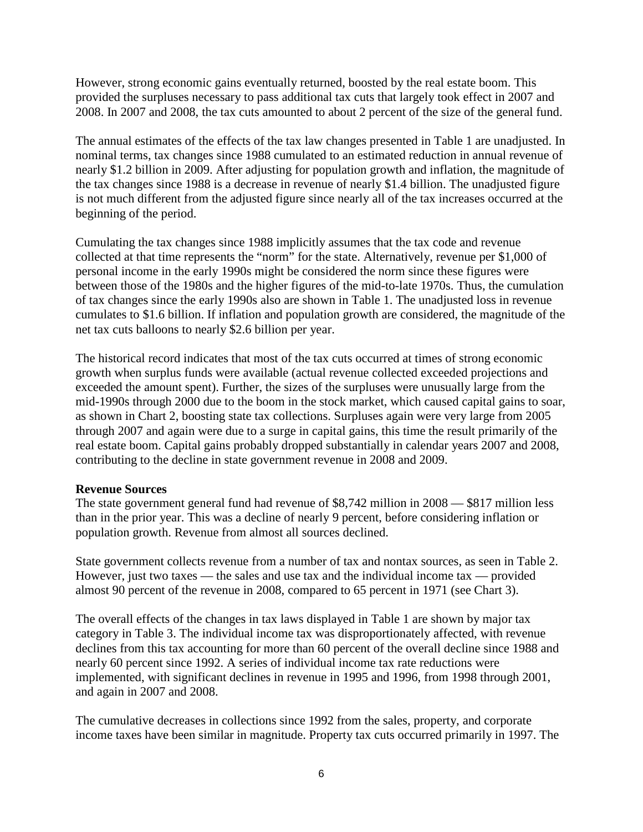However, strong economic gains eventually returned, boosted by the real estate boom. This provided the surpluses necessary to pass additional tax cuts that largely took effect in 2007 and 2008. In 2007 and 2008, the tax cuts amounted to about 2 percent of the size of the general fund.

The annual estimates of the effects of the tax law changes presented in Table 1 are unadjusted. In nominal terms, tax changes since 1988 cumulated to an estimated reduction in annual revenue of nearly \$1.2 billion in 2009. After adjusting for population growth and inflation, the magnitude of the tax changes since 1988 is a decrease in revenue of nearly \$1.4 billion. The unadjusted figure is not much different from the adjusted figure since nearly all of the tax increases occurred at the beginning of the period.

Cumulating the tax changes since 1988 implicitly assumes that the tax code and revenue collected at that time represents the "norm" for the state. Alternatively, revenue per \$1,000 of personal income in the early 1990s might be considered the norm since these figures were between those of the 1980s and the higher figures of the mid-to-late 1970s. Thus, the cumulation of tax changes since the early 1990s also are shown in Table 1. The unadjusted loss in revenue cumulates to \$1.6 billion. If inflation and population growth are considered, the magnitude of the net tax cuts balloons to nearly \$2.6 billion per year.

The historical record indicates that most of the tax cuts occurred at times of strong economic growth when surplus funds were available (actual revenue collected exceeded projections and exceeded the amount spent). Further, the sizes of the surpluses were unusually large from the mid-1990s through 2000 due to the boom in the stock market, which caused capital gains to soar, as shown in Chart 2, boosting state tax collections. Surpluses again were very large from 2005 through 2007 and again were due to a surge in capital gains, this time the result primarily of the real estate boom. Capital gains probably dropped substantially in calendar years 2007 and 2008, contributing to the decline in state government revenue in 2008 and 2009.

### **Revenue Sources**

The state government general fund had revenue of \$8,742 million in 2008 — \$817 million less than in the prior year. This was a decline of nearly 9 percent, before considering inflation or population growth. Revenue from almost all sources declined.

State government collects revenue from a number of tax and nontax sources, as seen in Table 2. However, just two taxes — the sales and use tax and the individual income tax — provided almost 90 percent of the revenue in 2008, compared to 65 percent in 1971 (see Chart 3).

The overall effects of the changes in tax laws displayed in Table 1 are shown by major tax category in Table 3. The individual income tax was disproportionately affected, with revenue declines from this tax accounting for more than 60 percent of the overall decline since 1988 and nearly 60 percent since 1992. A series of individual income tax rate reductions were implemented, with significant declines in revenue in 1995 and 1996, from 1998 through 2001, and again in 2007 and 2008.

The cumulative decreases in collections since 1992 from the sales, property, and corporate income taxes have been similar in magnitude. Property tax cuts occurred primarily in 1997. The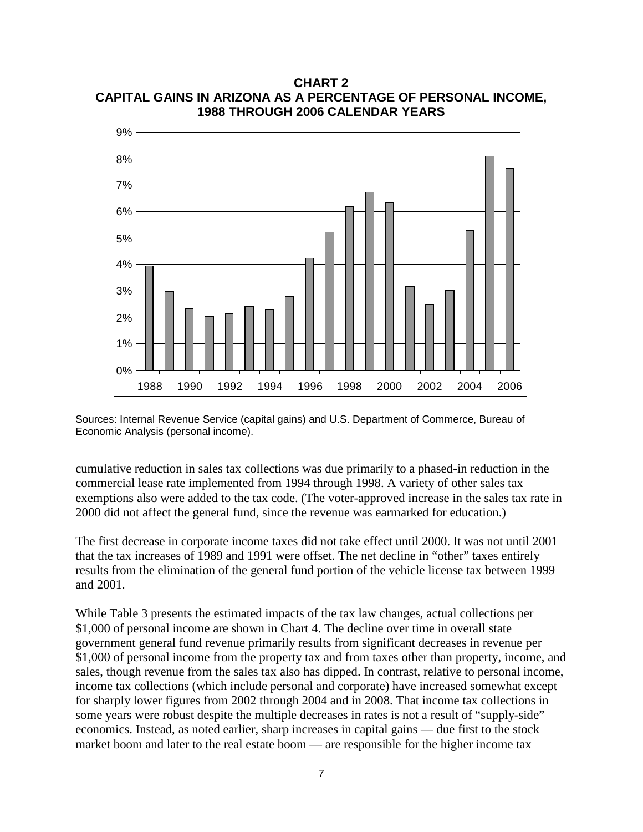**1988 THROUGH 2006 CALENDAR YEARS** 0% 1% 2% 3% 4% 5% 6% 7% 8% 9% 1988 1990 1992 1994 1996 1998 2000 2002 2004 2006

**CHART 2 CAPITAL GAINS IN ARIZONA AS A PERCENTAGE OF PERSONAL INCOME,**

Sources: Internal Revenue Service (capital gains) and U.S. Department of Commerce, Bureau of Economic Analysis (personal income).

cumulative reduction in sales tax collections was due primarily to a phased-in reduction in the commercial lease rate implemented from 1994 through 1998. A variety of other sales tax exemptions also were added to the tax code. (The voter-approved increase in the sales tax rate in 2000 did not affect the general fund, since the revenue was earmarked for education.)

The first decrease in corporate income taxes did not take effect until 2000. It was not until 2001 that the tax increases of 1989 and 1991 were offset. The net decline in "other" taxes entirely results from the elimination of the general fund portion of the vehicle license tax between 1999 and 2001.

While Table 3 presents the estimated impacts of the tax law changes, actual collections per \$1,000 of personal income are shown in Chart 4. The decline over time in overall state government general fund revenue primarily results from significant decreases in revenue per \$1,000 of personal income from the property tax and from taxes other than property, income, and sales, though revenue from the sales tax also has dipped. In contrast, relative to personal income, income tax collections (which include personal and corporate) have increased somewhat except for sharply lower figures from 2002 through 2004 and in 2008. That income tax collections in some years were robust despite the multiple decreases in rates is not a result of "supply-side" economics. Instead, as noted earlier, sharp increases in capital gains — due first to the stock market boom and later to the real estate boom — are responsible for the higher income tax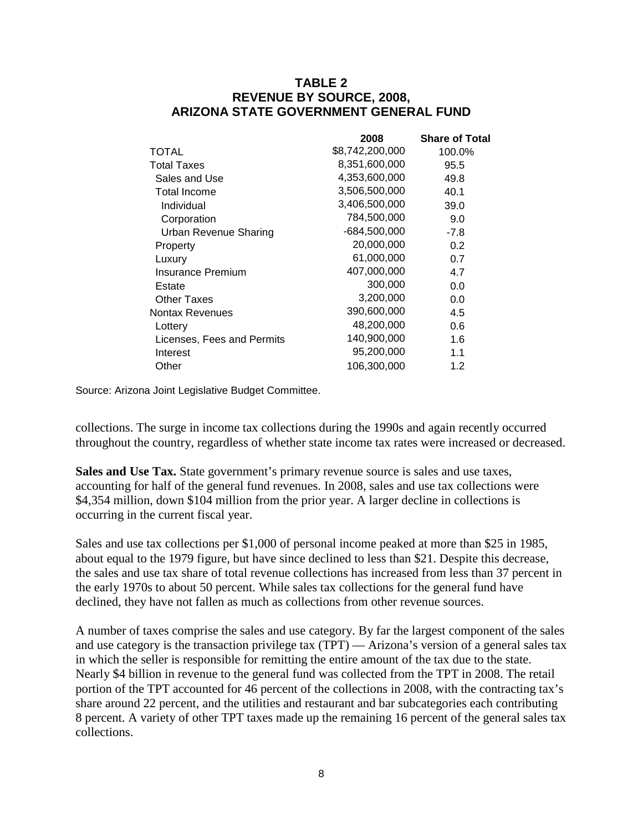## **TABLE 2 REVENUE BY SOURCE, 2008, ARIZONA STATE GOVERNMENT GENERAL FUND**

|                              | 2008            | <b>Share of Total</b> |
|------------------------------|-----------------|-----------------------|
| TOTAL                        | \$8,742,200,000 | 100.0%                |
| <b>Total Taxes</b>           | 8,351,600,000   | 95.5                  |
| Sales and Use                | 4,353,600,000   | 49.8                  |
| Total Income                 | 3,506,500,000   | 40.1                  |
| Individual                   | 3,406,500,000   | 39.0                  |
| Corporation                  | 784,500,000     | 9.0                   |
| <b>Urban Revenue Sharing</b> | -684,500,000    | $-7.8$                |
| Property                     | 20,000,000      | 0.2                   |
| Luxury                       | 61,000,000      | 0.7                   |
| Insurance Premium            | 407,000,000     | 4.7                   |
| Estate                       | 300,000         | 0.0                   |
| Other Taxes                  | 3,200,000       | 0.0                   |
| <b>Nontax Revenues</b>       | 390,600,000     | 4.5                   |
| Lottery                      | 48,200,000      | 0.6                   |
| Licenses, Fees and Permits   | 140,900,000     | 1.6                   |
| Interest                     | 95,200,000      | 1.1                   |
| Other                        | 106,300,000     | 1.2                   |

Source: Arizona Joint Legislative Budget Committee.

collections. The surge in income tax collections during the 1990s and again recently occurred throughout the country, regardless of whether state income tax rates were increased or decreased.

**Sales and Use Tax.** State government's primary revenue source is sales and use taxes, accounting for half of the general fund revenues. In 2008, sales and use tax collections were \$4,354 million, down \$104 million from the prior year. A larger decline in collections is occurring in the current fiscal year.

Sales and use tax collections per \$1,000 of personal income peaked at more than \$25 in 1985, about equal to the 1979 figure, but have since declined to less than \$21. Despite this decrease, the sales and use tax share of total revenue collections has increased from less than 37 percent in the early 1970s to about 50 percent. While sales tax collections for the general fund have declined, they have not fallen as much as collections from other revenue sources.

A number of taxes comprise the sales and use category. By far the largest component of the sales and use category is the transaction privilege tax (TPT) — Arizona's version of a general sales tax in which the seller is responsible for remitting the entire amount of the tax due to the state. Nearly \$4 billion in revenue to the general fund was collected from the TPT in 2008. The retail portion of the TPT accounted for 46 percent of the collections in 2008, with the contracting tax's share around 22 percent, and the utilities and restaurant and bar subcategories each contributing 8 percent. A variety of other TPT taxes made up the remaining 16 percent of the general sales tax collections.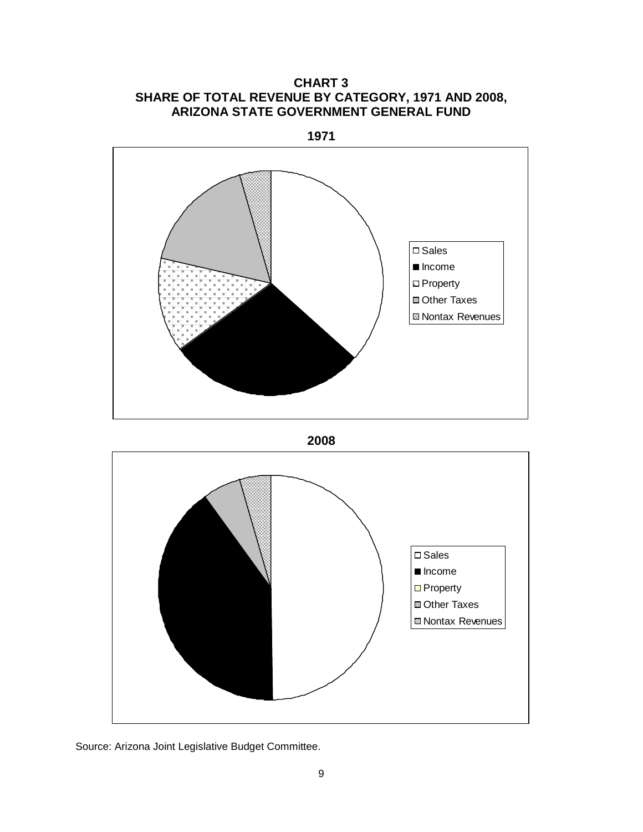**CHART 3 SHARE OF TOTAL REVENUE BY CATEGORY, 1971 AND 2008, ARIZONA STATE GOVERNMENT GENERAL FUND**

**1971**



**2008**



Source: Arizona Joint Legislative Budget Committee.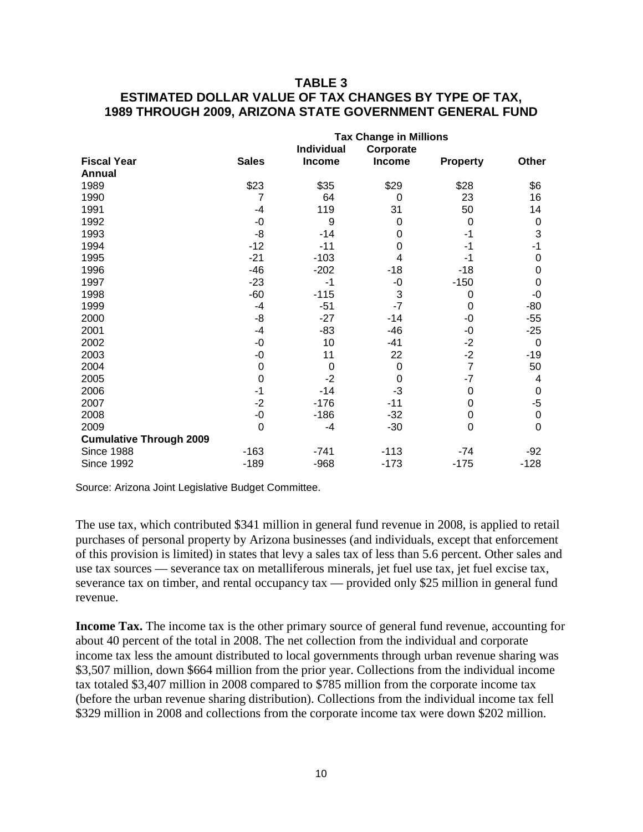# **TABLE 3 ESTIMATED DOLLAR VALUE OF TAX CHANGES BY TYPE OF TAX, 1989 THROUGH 2009, ARIZONA STATE GOVERNMENT GENERAL FUND**

|                                | <b>Tax Change in Millions</b> |               |           |                 |             |  |  |  |
|--------------------------------|-------------------------------|---------------|-----------|-----------------|-------------|--|--|--|
|                                |                               | Individual    | Corporate |                 |             |  |  |  |
| <b>Fiscal Year</b>             | <b>Sales</b>                  | <b>Income</b> | Income    | <b>Property</b> | Other       |  |  |  |
| Annual                         |                               |               |           |                 |             |  |  |  |
| 1989                           | \$23                          | \$35          | \$29      | \$28            | \$6         |  |  |  |
| 1990                           | 7                             | 64            | 0         | 23              | 16          |  |  |  |
| 1991                           | $-4$                          | 119           | 31        | 50              | 14          |  |  |  |
| 1992                           | $-0$                          | 9             | 0         | 0               | 0           |  |  |  |
| 1993                           | -8                            | $-14$         | 0         | $-1$            | 3           |  |  |  |
| 1994                           | $-12$                         | $-11$         | 0         | -1              | -1          |  |  |  |
| 1995                           | $-21$                         | $-103$        | 4         | -1              | 0           |  |  |  |
| 1996                           | $-46$                         | $-202$        | $-18$     | $-18$           | 0           |  |  |  |
| 1997                           | $-23$                         | -1            | -0        | $-150$          | 0           |  |  |  |
| 1998                           | $-60$                         | $-115$        | 3         | 0               | -0          |  |  |  |
| 1999                           | $-4$                          | $-51$         | $-7$      | 0               | $-80$       |  |  |  |
| 2000                           | -8                            | $-27$         | $-14$     | -0              | $-55$       |  |  |  |
| 2001                           | $-4$                          | $-83$         | $-46$     | -0              | $-25$       |  |  |  |
| 2002                           | $-0$                          | 10            | $-41$     | $-2$            | 0           |  |  |  |
| 2003                           | $-0$                          | 11            | 22        | $-2$            | $-19$       |  |  |  |
| 2004                           | $\mathbf 0$                   | $\mathbf 0$   | 0         | $\overline{7}$  | 50          |  |  |  |
| 2005                           | $\overline{0}$                | $-2$          | 0         | $-7$            | 4           |  |  |  |
| 2006                           | -1                            | $-14$         | $-3$      | 0               | 0           |  |  |  |
| 2007                           | $-2$                          | $-176$        | $-11$     | $\mathbf 0$     | -5          |  |  |  |
| 2008                           | $-0$                          | $-186$        | $-32$     | 0               | $\mathbf 0$ |  |  |  |
| 2009                           | $\mathbf 0$                   | -4            | $-30$     | $\mathbf 0$     | 0           |  |  |  |
| <b>Cumulative Through 2009</b> |                               |               |           |                 |             |  |  |  |
| <b>Since 1988</b>              | $-163$                        | $-741$        | $-113$    | $-74$           | $-92$       |  |  |  |
| <b>Since 1992</b>              | $-189$                        | $-968$        | $-173$    | $-175$          | $-128$      |  |  |  |

Source: Arizona Joint Legislative Budget Committee.

The use tax, which contributed \$341 million in general fund revenue in 2008, is applied to retail purchases of personal property by Arizona businesses (and individuals, except that enforcement of this provision is limited) in states that levy a sales tax of less than 5.6 percent. Other sales and use tax sources — severance tax on metalliferous minerals, jet fuel use tax, jet fuel excise tax, severance tax on timber, and rental occupancy tax — provided only \$25 million in general fund revenue.

**Income Tax.** The income tax is the other primary source of general fund revenue, accounting for about 40 percent of the total in 2008. The net collection from the individual and corporate income tax less the amount distributed to local governments through urban revenue sharing was \$3,507 million, down \$664 million from the prior year. Collections from the individual income tax totaled \$3,407 million in 2008 compared to \$785 million from the corporate income tax (before the urban revenue sharing distribution). Collections from the individual income tax fell \$329 million in 2008 and collections from the corporate income tax were down \$202 million.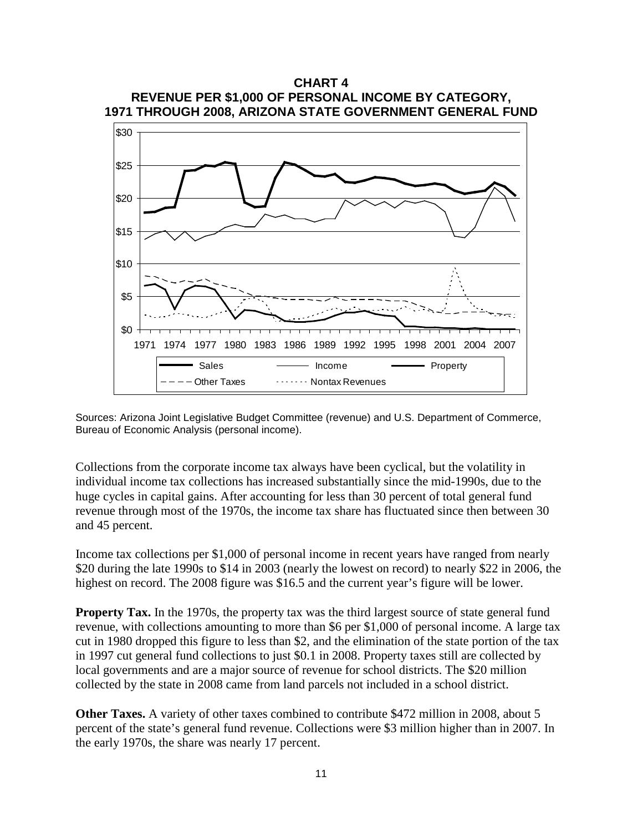

Sources: Arizona Joint Legislative Budget Committee (revenue) and U.S. Department of Commerce, Bureau of Economic Analysis (personal income).

Collections from the corporate income tax always have been cyclical, but the volatility in individual income tax collections has increased substantially since the mid-1990s, due to the huge cycles in capital gains. After accounting for less than 30 percent of total general fund revenue through most of the 1970s, the income tax share has fluctuated since then between 30 and 45 percent.

Income tax collections per \$1,000 of personal income in recent years have ranged from nearly \$20 during the late 1990s to \$14 in 2003 (nearly the lowest on record) to nearly \$22 in 2006, the highest on record. The 2008 figure was \$16.5 and the current year's figure will be lower.

**Property Tax.** In the 1970s, the property tax was the third largest source of state general fund revenue, with collections amounting to more than \$6 per \$1,000 of personal income. A large tax cut in 1980 dropped this figure to less than \$2, and the elimination of the state portion of the tax in 1997 cut general fund collections to just \$0.1 in 2008. Property taxes still are collected by local governments and are a major source of revenue for school districts. The \$20 million collected by the state in 2008 came from land parcels not included in a school district.

**Other Taxes.** A variety of other taxes combined to contribute \$472 million in 2008, about 5 percent of the state's general fund revenue. Collections were \$3 million higher than in 2007. In the early 1970s, the share was nearly 17 percent.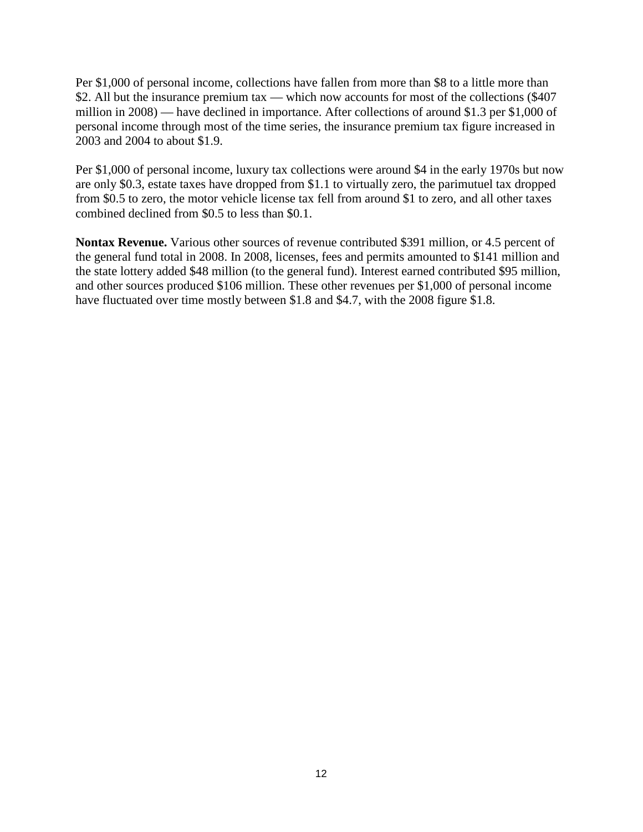Per \$1,000 of personal income, collections have fallen from more than \$8 to a little more than \$2. All but the insurance premium tax — which now accounts for most of the collections (\$407) million in 2008) — have declined in importance. After collections of around \$1.3 per \$1,000 of personal income through most of the time series, the insurance premium tax figure increased in 2003 and 2004 to about \$1.9.

Per \$1,000 of personal income, luxury tax collections were around \$4 in the early 1970s but now are only \$0.3, estate taxes have dropped from \$1.1 to virtually zero, the parimutuel tax dropped from \$0.5 to zero, the motor vehicle license tax fell from around \$1 to zero, and all other taxes combined declined from \$0.5 to less than \$0.1.

**Nontax Revenue.** Various other sources of revenue contributed \$391 million, or 4.5 percent of the general fund total in 2008. In 2008, licenses, fees and permits amounted to \$141 million and the state lottery added \$48 million (to the general fund). Interest earned contributed \$95 million, and other sources produced \$106 million. These other revenues per \$1,000 of personal income have fluctuated over time mostly between \$1.8 and \$4.7, with the 2008 figure \$1.8.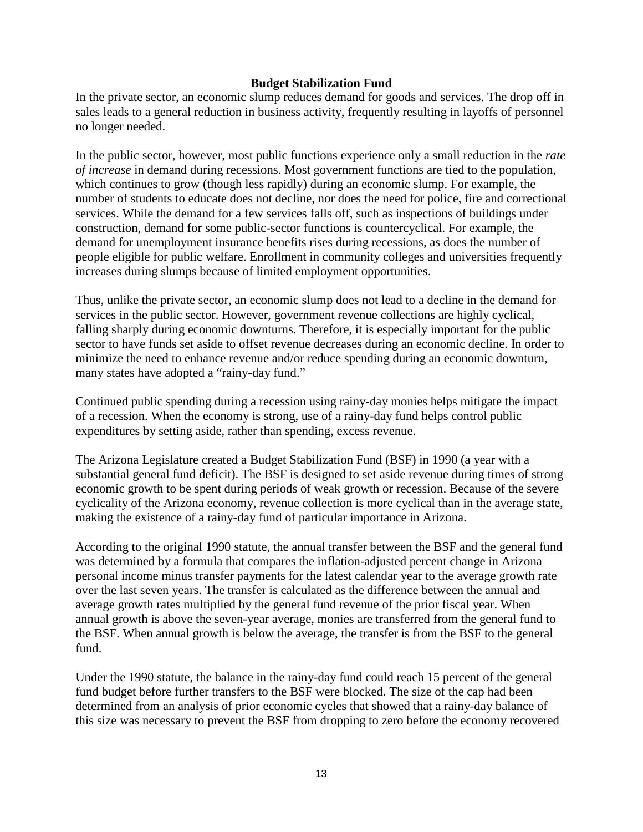#### **Budget Stabilization Fund**

In the private sector, an economic slump reduces demand for goods and services. The drop off in sales leads to a general reduction in business activity, frequently resulting in layoffs of personnel no longer needed.

In the public sector, however, most public functions experience only a small reduction in the *rate of increase* in demand during recessions. Most government functions are tied to the population, which continues to grow (though less rapidly) during an economic slump. For example, the number of students to educate does not decline, nor does the need for police, fire and correctional services. While the demand for a few services falls off, such as inspections of buildings under construction, demand for some public-sector functions is countercyclical. For example, the demand for unemployment insurance benefits rises during recessions, as does the number of people eligible for public welfare. Enrollment in community colleges and universities frequently increases during slumps because of limited employment opportunities.

Thus, unlike the private sector, an economic slump does not lead to a decline in the demand for services in the public sector. However, government revenue collections are highly cyclical, falling sharply during economic downturns. Therefore, it is especially important for the public sector to have funds set aside to offset revenue decreases during an economic decline. In order to minimize the need to enhance revenue and/or reduce spending during an economic downturn, many states have adopted a "rainy-day fund."

Continued public spending during a recession using rainy-day monies helps mitigate the impact of a recession. When the economy is strong, use of a rainy-day fund helps control public expenditures by setting aside, rather than spending, excess revenue.

The Arizona Legislature created a Budget Stabilization Fund (BSF) in 1990 (a year with a substantial general fund deficit). The BSF is designed to set aside revenue during times of strong economic growth to be spent during periods of weak growth or recession. Because of the severe cyclicality of the Arizona economy, revenue collection is more cyclical than in the average state, making the existence of a rainy-day fund of particular importance in Arizona.

According to the original 1990 statute, the annual transfer between the BSF and the general fund was determined by a formula that compares the inflation-adjusted percent change in Arizona personal income minus transfer payments for the latest calendar year to the average growth rate over the last seven years. The transfer is calculated as the difference between the annual and average growth rates multiplied by the general fund revenue of the prior fiscal year. When annual growth is above the seven-year average, monies are transferred from the general fund to the BSF. When annual growth is below the average, the transfer is from the BSF to the general fund.

Under the 1990 statute, the balance in the rainy-day fund could reach 15 percent of the general fund budget before further transfers to the BSF were blocked. The size of the cap had been determined from an analysis of prior economic cycles that showed that a rainy-day balance of this size was necessary to prevent the BSF from dropping to zero before the economy recovered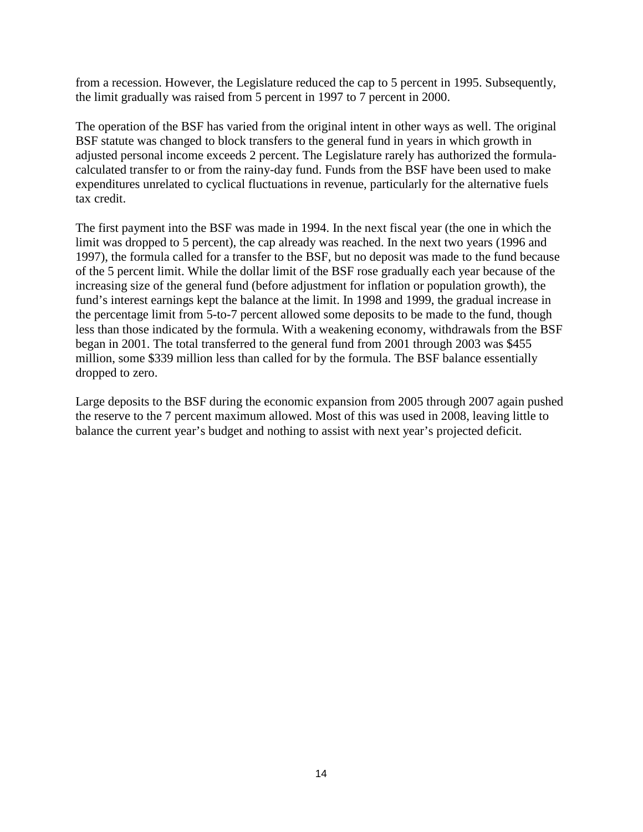from a recession. However, the Legislature reduced the cap to 5 percent in 1995. Subsequently, the limit gradually was raised from 5 percent in 1997 to 7 percent in 2000.

The operation of the BSF has varied from the original intent in other ways as well. The original BSF statute was changed to block transfers to the general fund in years in which growth in adjusted personal income exceeds 2 percent. The Legislature rarely has authorized the formulacalculated transfer to or from the rainy-day fund. Funds from the BSF have been used to make expenditures unrelated to cyclical fluctuations in revenue, particularly for the alternative fuels tax credit.

The first payment into the BSF was made in 1994. In the next fiscal year (the one in which the limit was dropped to 5 percent), the cap already was reached. In the next two years (1996 and 1997), the formula called for a transfer to the BSF, but no deposit was made to the fund because of the 5 percent limit. While the dollar limit of the BSF rose gradually each year because of the increasing size of the general fund (before adjustment for inflation or population growth), the fund's interest earnings kept the balance at the limit. In 1998 and 1999, the gradual increase in the percentage limit from 5-to-7 percent allowed some deposits to be made to the fund, though less than those indicated by the formula. With a weakening economy, withdrawals from the BSF began in 2001. The total transferred to the general fund from 2001 through 2003 was \$455 million, some \$339 million less than called for by the formula. The BSF balance essentially dropped to zero.

Large deposits to the BSF during the economic expansion from 2005 through 2007 again pushed the reserve to the 7 percent maximum allowed. Most of this was used in 2008, leaving little to balance the current year's budget and nothing to assist with next year's projected deficit.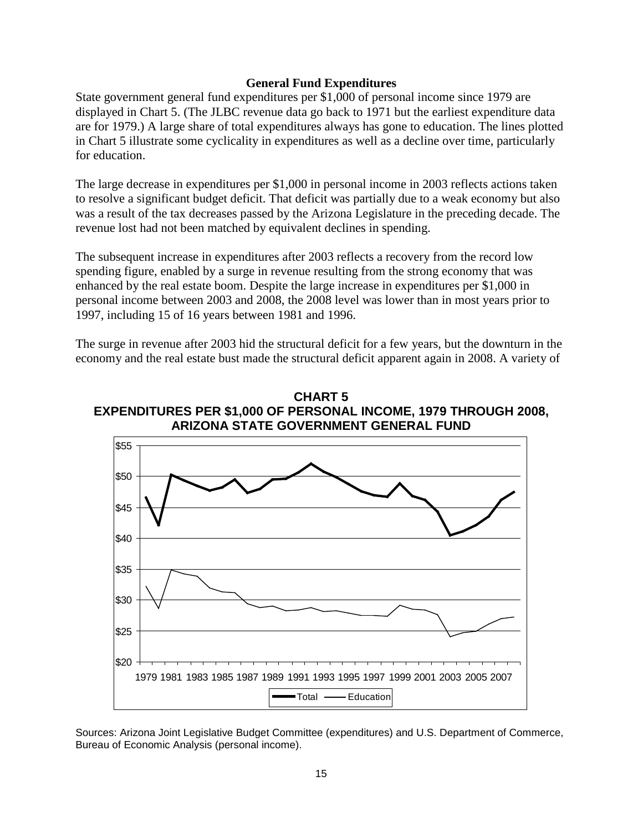#### **General Fund Expenditures**

State government general fund expenditures per \$1,000 of personal income since 1979 are displayed in Chart 5. (The JLBC revenue data go back to 1971 but the earliest expenditure data are for 1979.) A large share of total expenditures always has gone to education. The lines plotted in Chart 5 illustrate some cyclicality in expenditures as well as a decline over time, particularly for education.

The large decrease in expenditures per \$1,000 in personal income in 2003 reflects actions taken to resolve a significant budget deficit. That deficit was partially due to a weak economy but also was a result of the tax decreases passed by the Arizona Legislature in the preceding decade. The revenue lost had not been matched by equivalent declines in spending.

The subsequent increase in expenditures after 2003 reflects a recovery from the record low spending figure, enabled by a surge in revenue resulting from the strong economy that was enhanced by the real estate boom. Despite the large increase in expenditures per \$1,000 in personal income between 2003 and 2008, the 2008 level was lower than in most years prior to 1997, including 15 of 16 years between 1981 and 1996.

The surge in revenue after 2003 hid the structural deficit for a few years, but the downturn in the economy and the real estate bust made the structural deficit apparent again in 2008. A variety of





Sources: Arizona Joint Legislative Budget Committee (expenditures) and U.S. Department of Commerce, Bureau of Economic Analysis (personal income).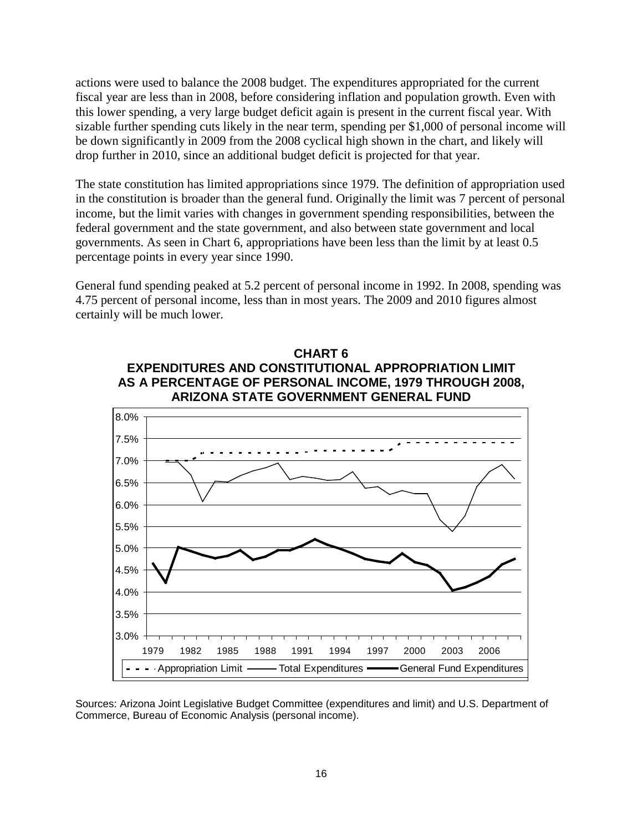actions were used to balance the 2008 budget. The expenditures appropriated for the current fiscal year are less than in 2008, before considering inflation and population growth. Even with this lower spending, a very large budget deficit again is present in the current fiscal year. With sizable further spending cuts likely in the near term, spending per \$1,000 of personal income will be down significantly in 2009 from the 2008 cyclical high shown in the chart, and likely will drop further in 2010, since an additional budget deficit is projected for that year.

The state constitution has limited appropriations since 1979. The definition of appropriation used in the constitution is broader than the general fund. Originally the limit was 7 percent of personal income, but the limit varies with changes in government spending responsibilities, between the federal government and the state government, and also between state government and local governments. As seen in Chart 6, appropriations have been less than the limit by at least 0.5 percentage points in every year since 1990.

General fund spending peaked at 5.2 percent of personal income in 1992. In 2008, spending was 4.75 percent of personal income, less than in most years. The 2009 and 2010 figures almost certainly will be much lower.



Sources: Arizona Joint Legislative Budget Committee (expenditures and limit) and U.S. Department of Commerce, Bureau of Economic Analysis (personal income).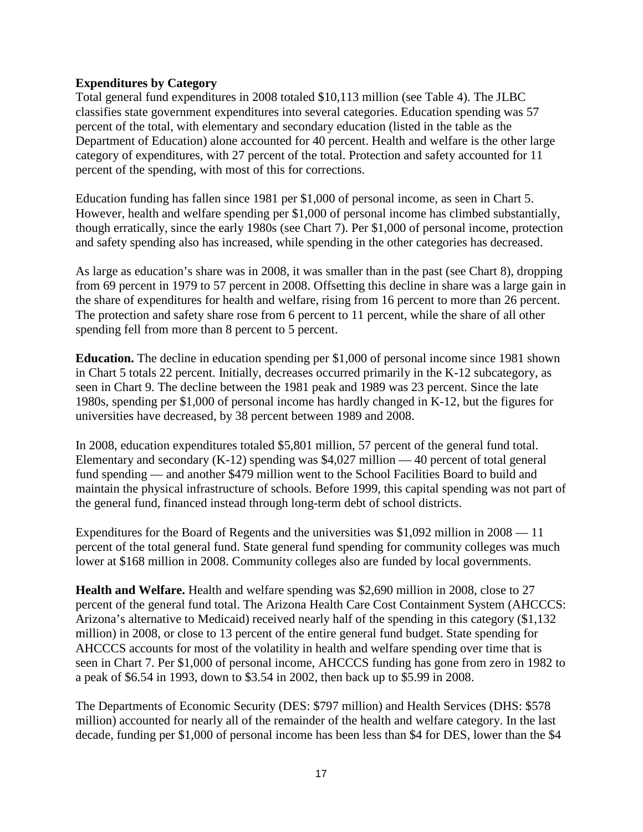## **Expenditures by Category**

Total general fund expenditures in 2008 totaled \$10,113 million (see Table 4). The JLBC classifies state government expenditures into several categories. Education spending was 57 percent of the total, with elementary and secondary education (listed in the table as the Department of Education) alone accounted for 40 percent. Health and welfare is the other large category of expenditures, with 27 percent of the total. Protection and safety accounted for 11 percent of the spending, with most of this for corrections.

Education funding has fallen since 1981 per \$1,000 of personal income, as seen in Chart 5. However, health and welfare spending per \$1,000 of personal income has climbed substantially, though erratically, since the early 1980s (see Chart 7). Per \$1,000 of personal income, protection and safety spending also has increased, while spending in the other categories has decreased.

As large as education's share was in 2008, it was smaller than in the past (see Chart 8), dropping from 69 percent in 1979 to 57 percent in 2008. Offsetting this decline in share was a large gain in the share of expenditures for health and welfare, rising from 16 percent to more than 26 percent. The protection and safety share rose from 6 percent to 11 percent, while the share of all other spending fell from more than 8 percent to 5 percent.

**Education.** The decline in education spending per \$1,000 of personal income since 1981 shown in Chart 5 totals 22 percent. Initially, decreases occurred primarily in the K-12 subcategory, as seen in Chart 9. The decline between the 1981 peak and 1989 was 23 percent. Since the late 1980s, spending per \$1,000 of personal income has hardly changed in K-12, but the figures for universities have decreased, by 38 percent between 1989 and 2008.

In 2008, education expenditures totaled \$5,801 million, 57 percent of the general fund total. Elementary and secondary  $(K-12)$  spending was \$4,027 million  $-40$  percent of total general fund spending — and another \$479 million went to the School Facilities Board to build and maintain the physical infrastructure of schools. Before 1999, this capital spending was not part of the general fund, financed instead through long-term debt of school districts.

Expenditures for the Board of Regents and the universities was \$1,092 million in 2008 — 11 percent of the total general fund. State general fund spending for community colleges was much lower at \$168 million in 2008. Community colleges also are funded by local governments.

**Health and Welfare.** Health and welfare spending was \$2,690 million in 2008, close to 27 percent of the general fund total. The Arizona Health Care Cost Containment System (AHCCCS: Arizona's alternative to Medicaid) received nearly half of the spending in this category (\$1,132 million) in 2008, or close to 13 percent of the entire general fund budget. State spending for AHCCCS accounts for most of the volatility in health and welfare spending over time that is seen in Chart 7. Per \$1,000 of personal income, AHCCCS funding has gone from zero in 1982 to a peak of \$6.54 in 1993, down to \$3.54 in 2002, then back up to \$5.99 in 2008.

The Departments of Economic Security (DES: \$797 million) and Health Services (DHS: \$578 million) accounted for nearly all of the remainder of the health and welfare category. In the last decade, funding per \$1,000 of personal income has been less than \$4 for DES, lower than the \$4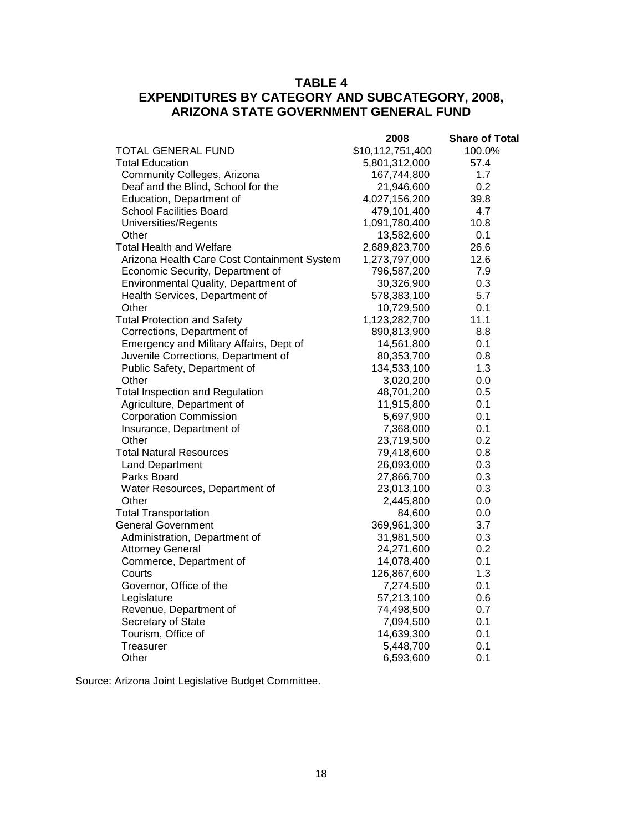# **TABLE 4 EXPENDITURES BY CATEGORY AND SUBCATEGORY, 2008, ARIZONA STATE GOVERNMENT GENERAL FUND**

|                                             | 2008             | <b>Share of Total</b> |
|---------------------------------------------|------------------|-----------------------|
| <b>TOTAL GENERAL FUND</b>                   | \$10,112,751,400 | 100.0%                |
| <b>Total Education</b>                      | 5,801,312,000    | 57.4                  |
| Community Colleges, Arizona                 | 167,744,800      | 1.7                   |
| Deaf and the Blind, School for the          | 21,946,600       | 0.2                   |
| Education, Department of                    | 4,027,156,200    | 39.8                  |
| <b>School Facilities Board</b>              | 479,101,400      | 4.7                   |
| Universities/Regents                        | 1,091,780,400    | 10.8                  |
| Other                                       | 13,582,600       | 0.1                   |
| <b>Total Health and Welfare</b>             | 2,689,823,700    | 26.6                  |
| Arizona Health Care Cost Containment System | 1,273,797,000    | 12.6                  |
| Economic Security, Department of            | 796,587,200      | 7.9                   |
| Environmental Quality, Department of        | 30,326,900       | 0.3                   |
| Health Services, Department of              | 578,383,100      | 5.7                   |
| Other                                       | 10,729,500       | 0.1                   |
| <b>Total Protection and Safety</b>          | 1,123,282,700    | 11.1                  |
| Corrections, Department of                  | 890,813,900      | 8.8                   |
| Emergency and Military Affairs, Dept of     | 14,561,800       | 0.1                   |
| Juvenile Corrections, Department of         | 80,353,700       | 0.8                   |
| Public Safety, Department of                | 134,533,100      | 1.3                   |
| Other                                       | 3,020,200        | 0.0                   |
| <b>Total Inspection and Regulation</b>      | 48,701,200       | 0.5                   |
| Agriculture, Department of                  | 11,915,800       | 0.1                   |
| <b>Corporation Commission</b>               | 5,697,900        | 0.1                   |
| Insurance, Department of                    | 7,368,000        | 0.1                   |
| Other                                       | 23,719,500       | 0.2                   |
| <b>Total Natural Resources</b>              | 79,418,600       | 0.8                   |
| <b>Land Department</b>                      | 26,093,000       | 0.3                   |
| Parks Board                                 | 27,866,700       | 0.3                   |
| Water Resources, Department of              | 23,013,100       | 0.3                   |
| Other                                       | 2,445,800        | 0.0                   |
| <b>Total Transportation</b>                 | 84,600           | 0.0                   |
| <b>General Government</b>                   | 369,961,300      | 3.7                   |
| Administration, Department of               | 31,981,500       | 0.3                   |
| <b>Attorney General</b>                     | 24,271,600       | 0.2                   |
| Commerce, Department of                     | 14,078,400       | 0.1                   |
| Courts                                      | 126,867,600      | 1.3                   |
| Governor, Office of the                     | 7,274,500        | 0.1                   |
| Legislature                                 | 57,213,100       | 0.6                   |
| Revenue, Department of                      | 74,498,500       | 0.7                   |
| Secretary of State                          | 7,094,500        | 0.1                   |
| Tourism, Office of                          | 14,639,300       | 0.1                   |
| <b>Treasurer</b>                            | 5,448,700        | 0.1                   |
| Other                                       | 6,593,600        | 0.1                   |

Source: Arizona Joint Legislative Budget Committee.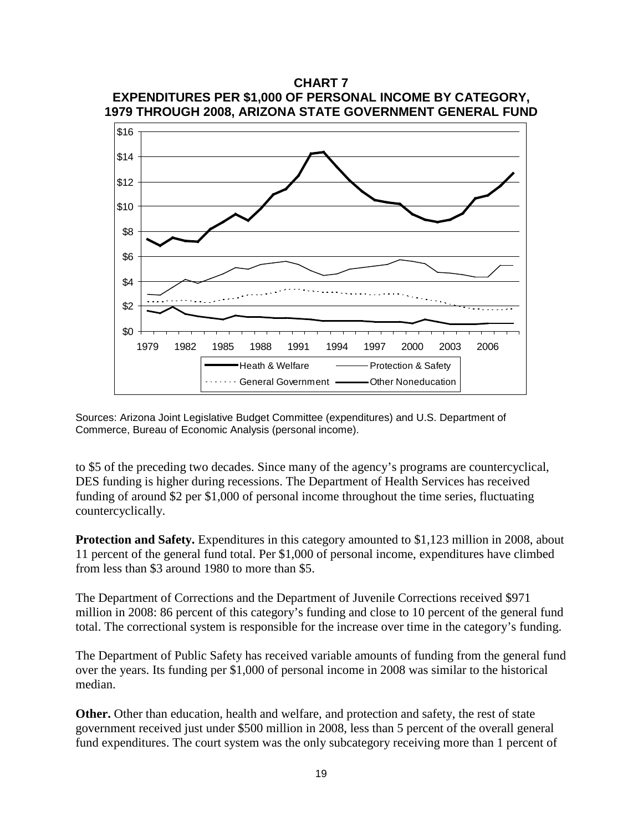

Sources: Arizona Joint Legislative Budget Committee (expenditures) and U.S. Department of Commerce, Bureau of Economic Analysis (personal income).

to \$5 of the preceding two decades. Since many of the agency's programs are countercyclical, DES funding is higher during recessions. The Department of Health Services has received funding of around \$2 per \$1,000 of personal income throughout the time series, fluctuating countercyclically.

**Protection and Safety.** Expenditures in this category amounted to \$1,123 million in 2008, about 11 percent of the general fund total. Per \$1,000 of personal income, expenditures have climbed from less than \$3 around 1980 to more than \$5.

The Department of Corrections and the Department of Juvenile Corrections received \$971 million in 2008: 86 percent of this category's funding and close to 10 percent of the general fund total. The correctional system is responsible for the increase over time in the category's funding.

The Department of Public Safety has received variable amounts of funding from the general fund over the years. Its funding per \$1,000 of personal income in 2008 was similar to the historical median.

**Other.** Other than education, health and welfare, and protection and safety, the rest of state government received just under \$500 million in 2008, less than 5 percent of the overall general fund expenditures. The court system was the only subcategory receiving more than 1 percent of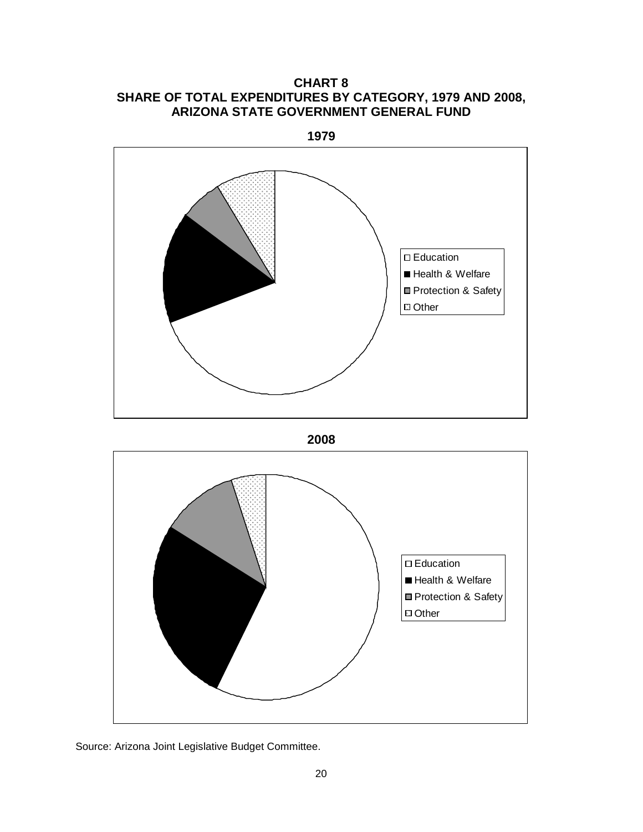**CHART 8 SHARE OF TOTAL EXPENDITURES BY CATEGORY, 1979 AND 2008, ARIZONA STATE GOVERNMENT GENERAL FUND**

**1979** Education Health & Welfare **Protection & Safety** Other





Source: Arizona Joint Legislative Budget Committee.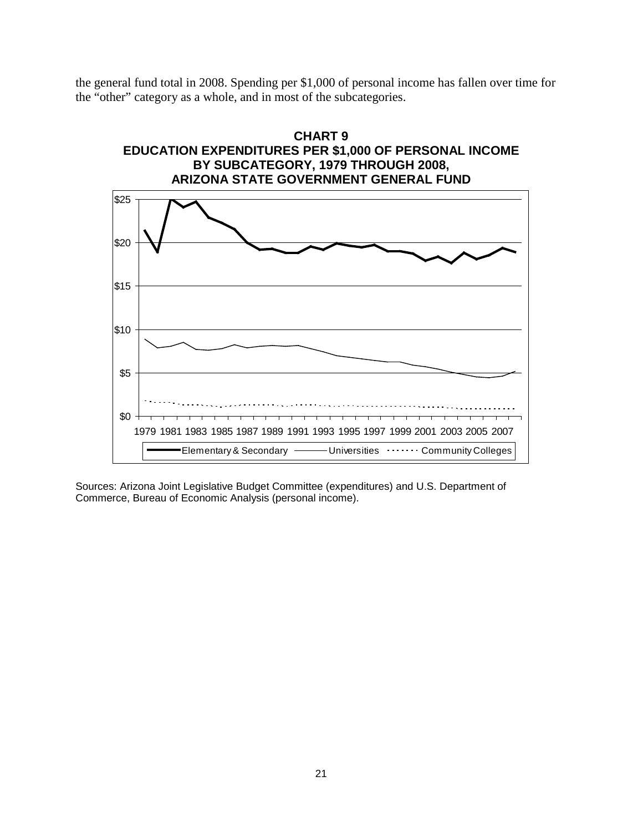the general fund total in 2008. Spending per \$1,000 of personal income has fallen over time for the "other" category as a whole, and in most of the subcategories.



Sources: Arizona Joint Legislative Budget Committee (expenditures) and U.S. Department of Commerce, Bureau of Economic Analysis (personal income).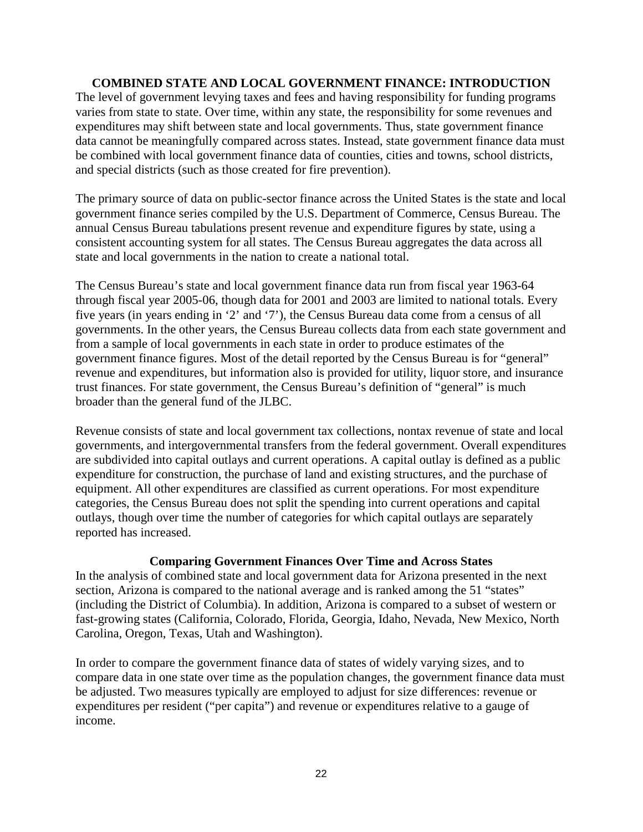## **COMBINED STATE AND LOCAL GOVERNMENT FINANCE: INTRODUCTION**

The level of government levying taxes and fees and having responsibility for funding programs varies from state to state. Over time, within any state, the responsibility for some revenues and expenditures may shift between state and local governments. Thus, state government finance data cannot be meaningfully compared across states. Instead, state government finance data must be combined with local government finance data of counties, cities and towns, school districts, and special districts (such as those created for fire prevention).

The primary source of data on public-sector finance across the United States is the state and local government finance series compiled by the U.S. Department of Commerce, Census Bureau. The annual Census Bureau tabulations present revenue and expenditure figures by state, using a consistent accounting system for all states. The Census Bureau aggregates the data across all state and local governments in the nation to create a national total.

The Census Bureau's state and local government finance data run from fiscal year 1963-64 through fiscal year 2005-06, though data for 2001 and 2003 are limited to national totals. Every five years (in years ending in '2' and '7'), the Census Bureau data come from a census of all governments. In the other years, the Census Bureau collects data from each state government and from a sample of local governments in each state in order to produce estimates of the government finance figures. Most of the detail reported by the Census Bureau is for "general" revenue and expenditures, but information also is provided for utility, liquor store, and insurance trust finances. For state government, the Census Bureau's definition of "general" is much broader than the general fund of the JLBC.

Revenue consists of state and local government tax collections, nontax revenue of state and local governments, and intergovernmental transfers from the federal government. Overall expenditures are subdivided into capital outlays and current operations. A capital outlay is defined as a public expenditure for construction, the purchase of land and existing structures, and the purchase of equipment. All other expenditures are classified as current operations. For most expenditure categories, the Census Bureau does not split the spending into current operations and capital outlays, though over time the number of categories for which capital outlays are separately reported has increased.

### **Comparing Government Finances Over Time and Across States**

In the analysis of combined state and local government data for Arizona presented in the next section, Arizona is compared to the national average and is ranked among the 51 "states" (including the District of Columbia). In addition, Arizona is compared to a subset of western or fast-growing states (California, Colorado, Florida, Georgia, Idaho, Nevada, New Mexico, North Carolina, Oregon, Texas, Utah and Washington).

In order to compare the government finance data of states of widely varying sizes, and to compare data in one state over time as the population changes, the government finance data must be adjusted. Two measures typically are employed to adjust for size differences: revenue or expenditures per resident ("per capita") and revenue or expenditures relative to a gauge of income.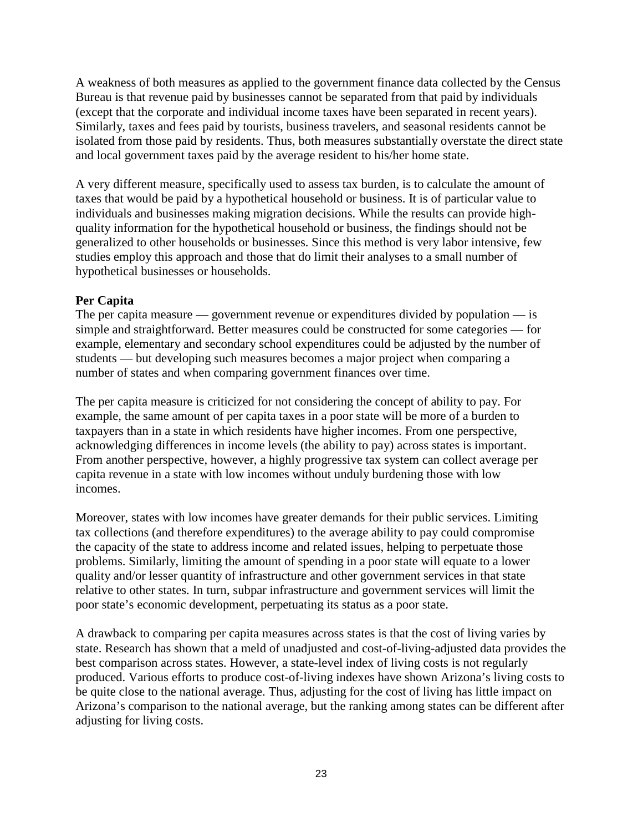A weakness of both measures as applied to the government finance data collected by the Census Bureau is that revenue paid by businesses cannot be separated from that paid by individuals (except that the corporate and individual income taxes have been separated in recent years). Similarly, taxes and fees paid by tourists, business travelers, and seasonal residents cannot be isolated from those paid by residents. Thus, both measures substantially overstate the direct state and local government taxes paid by the average resident to his/her home state.

A very different measure, specifically used to assess tax burden, is to calculate the amount of taxes that would be paid by a hypothetical household or business. It is of particular value to individuals and businesses making migration decisions. While the results can provide highquality information for the hypothetical household or business, the findings should not be generalized to other households or businesses. Since this method is very labor intensive, few studies employ this approach and those that do limit their analyses to a small number of hypothetical businesses or households.

# **Per Capita**

The per capita measure — government revenue or expenditures divided by population — is simple and straightforward. Better measures could be constructed for some categories — for example, elementary and secondary school expenditures could be adjusted by the number of students — but developing such measures becomes a major project when comparing a number of states and when comparing government finances over time.

The per capita measure is criticized for not considering the concept of ability to pay. For example, the same amount of per capita taxes in a poor state will be more of a burden to taxpayers than in a state in which residents have higher incomes. From one perspective, acknowledging differences in income levels (the ability to pay) across states is important. From another perspective, however, a highly progressive tax system can collect average per capita revenue in a state with low incomes without unduly burdening those with low incomes.

Moreover, states with low incomes have greater demands for their public services. Limiting tax collections (and therefore expenditures) to the average ability to pay could compromise the capacity of the state to address income and related issues, helping to perpetuate those problems. Similarly, limiting the amount of spending in a poor state will equate to a lower quality and/or lesser quantity of infrastructure and other government services in that state relative to other states. In turn, subpar infrastructure and government services will limit the poor state's economic development, perpetuating its status as a poor state.

A drawback to comparing per capita measures across states is that the cost of living varies by state. Research has shown that a meld of unadjusted and cost-of-living-adjusted data provides the best comparison across states. However, a state-level index of living costs is not regularly produced. Various efforts to produce cost-of-living indexes have shown Arizona's living costs to be quite close to the national average. Thus, adjusting for the cost of living has little impact on Arizona's comparison to the national average, but the ranking among states can be different after adjusting for living costs.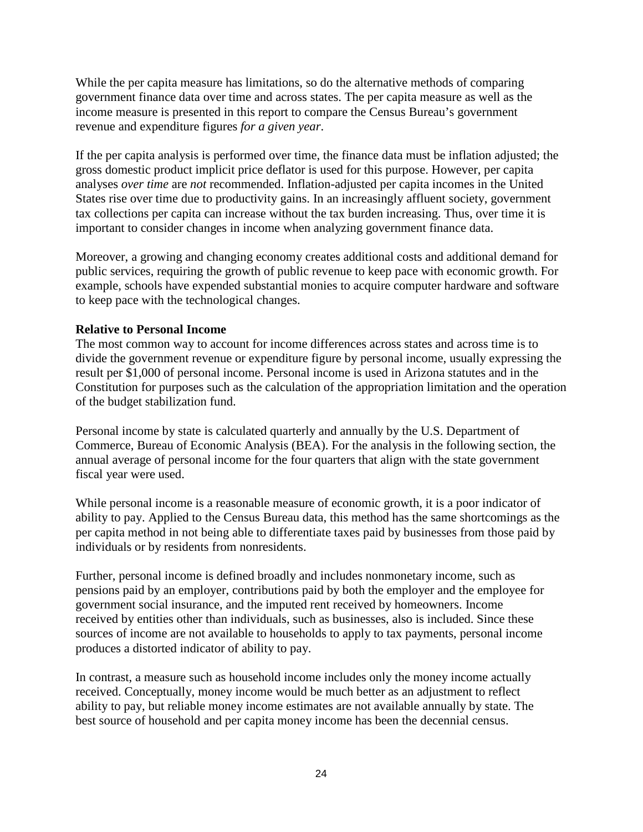While the per capita measure has limitations, so do the alternative methods of comparing government finance data over time and across states. The per capita measure as well as the income measure is presented in this report to compare the Census Bureau's government revenue and expenditure figures *for a given year*.

If the per capita analysis is performed over time, the finance data must be inflation adjusted; the gross domestic product implicit price deflator is used for this purpose. However, per capita analyses *over time* are *not* recommended. Inflation-adjusted per capita incomes in the United States rise over time due to productivity gains. In an increasingly affluent society, government tax collections per capita can increase without the tax burden increasing. Thus, over time it is important to consider changes in income when analyzing government finance data.

Moreover, a growing and changing economy creates additional costs and additional demand for public services, requiring the growth of public revenue to keep pace with economic growth. For example, schools have expended substantial monies to acquire computer hardware and software to keep pace with the technological changes.

# **Relative to Personal Income**

The most common way to account for income differences across states and across time is to divide the government revenue or expenditure figure by personal income, usually expressing the result per \$1,000 of personal income. Personal income is used in Arizona statutes and in the Constitution for purposes such as the calculation of the appropriation limitation and the operation of the budget stabilization fund.

Personal income by state is calculated quarterly and annually by the U.S. Department of Commerce, Bureau of Economic Analysis (BEA). For the analysis in the following section, the annual average of personal income for the four quarters that align with the state government fiscal year were used.

While personal income is a reasonable measure of economic growth, it is a poor indicator of ability to pay. Applied to the Census Bureau data, this method has the same shortcomings as the per capita method in not being able to differentiate taxes paid by businesses from those paid by individuals or by residents from nonresidents.

Further, personal income is defined broadly and includes nonmonetary income, such as pensions paid by an employer, contributions paid by both the employer and the employee for government social insurance, and the imputed rent received by homeowners. Income received by entities other than individuals, such as businesses, also is included. Since these sources of income are not available to households to apply to tax payments, personal income produces a distorted indicator of ability to pay.

In contrast, a measure such as household income includes only the money income actually received. Conceptually, money income would be much better as an adjustment to reflect ability to pay, but reliable money income estimates are not available annually by state. The best source of household and per capita money income has been the decennial census.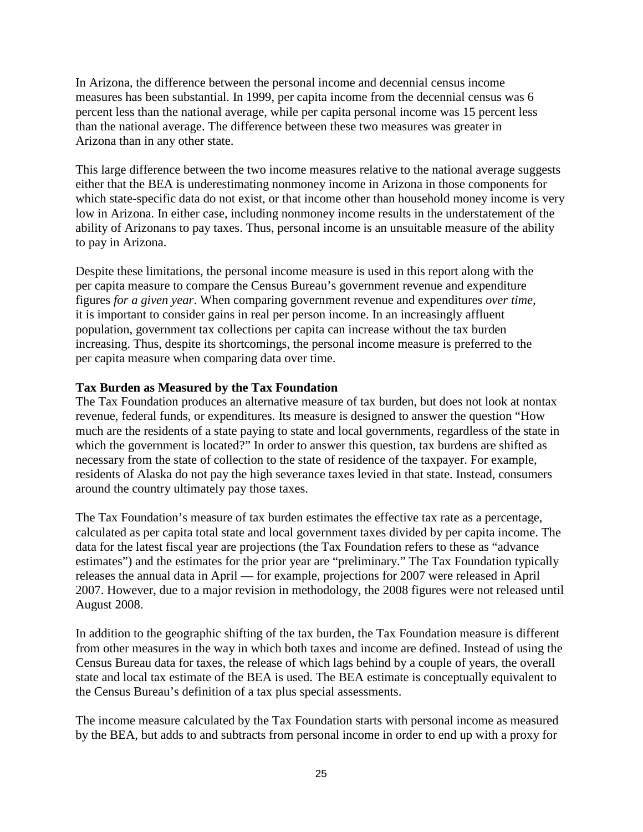In Arizona, the difference between the personal income and decennial census income measures has been substantial. In 1999, per capita income from the decennial census was 6 percent less than the national average, while per capita personal income was 15 percent less than the national average. The difference between these two measures was greater in Arizona than in any other state.

This large difference between the two income measures relative to the national average suggests either that the BEA is underestimating nonmoney income in Arizona in those components for which state-specific data do not exist, or that income other than household money income is very low in Arizona. In either case, including nonmoney income results in the understatement of the ability of Arizonans to pay taxes. Thus, personal income is an unsuitable measure of the ability to pay in Arizona.

Despite these limitations, the personal income measure is used in this report along with the per capita measure to compare the Census Bureau's government revenue and expenditure figures *for a given year*. When comparing government revenue and expenditures *over time*, it is important to consider gains in real per person income. In an increasingly affluent population, government tax collections per capita can increase without the tax burden increasing. Thus, despite its shortcomings, the personal income measure is preferred to the per capita measure when comparing data over time.

# **Tax Burden as Measured by the Tax Foundation**

The Tax Foundation produces an alternative measure of tax burden, but does not look at nontax revenue, federal funds, or expenditures. Its measure is designed to answer the question "How much are the residents of a state paying to state and local governments, regardless of the state in which the government is located?" In order to answer this question, tax burdens are shifted as necessary from the state of collection to the state of residence of the taxpayer. For example, residents of Alaska do not pay the high severance taxes levied in that state. Instead, consumers around the country ultimately pay those taxes.

The Tax Foundation's measure of tax burden estimates the effective tax rate as a percentage, calculated as per capita total state and local government taxes divided by per capita income. The data for the latest fiscal year are projections (the Tax Foundation refers to these as "advance estimates") and the estimates for the prior year are "preliminary." The Tax Foundation typically releases the annual data in April — for example, projections for 2007 were released in April 2007. However, due to a major revision in methodology, the 2008 figures were not released until August 2008.

In addition to the geographic shifting of the tax burden, the Tax Foundation measure is different from other measures in the way in which both taxes and income are defined. Instead of using the Census Bureau data for taxes, the release of which lags behind by a couple of years, the overall state and local tax estimate of the BEA is used. The BEA estimate is conceptually equivalent to the Census Bureau's definition of a tax plus special assessments.

The income measure calculated by the Tax Foundation starts with personal income as measured by the BEA, but adds to and subtracts from personal income in order to end up with a proxy for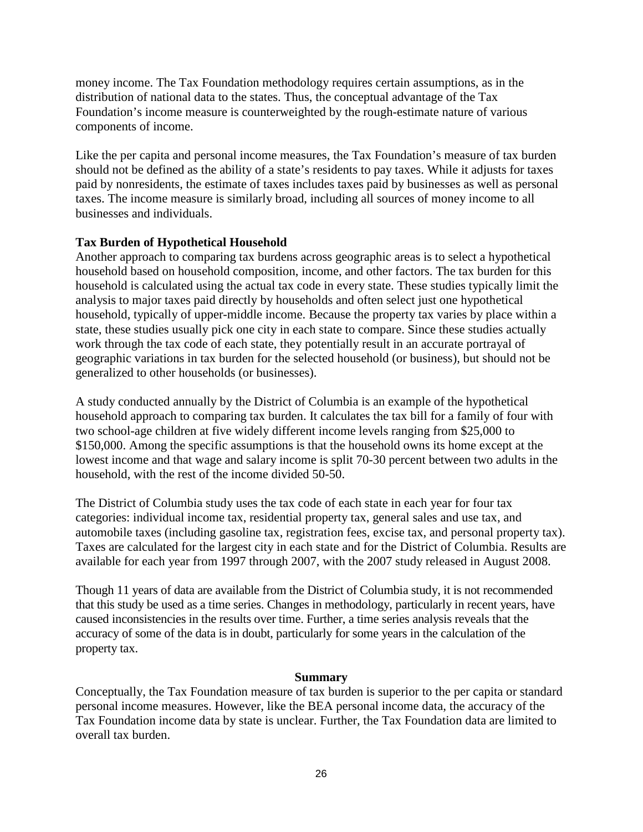money income. The Tax Foundation methodology requires certain assumptions, as in the distribution of national data to the states. Thus, the conceptual advantage of the Tax Foundation's income measure is counterweighted by the rough-estimate nature of various components of income.

Like the per capita and personal income measures, the Tax Foundation's measure of tax burden should not be defined as the ability of a state's residents to pay taxes. While it adjusts for taxes paid by nonresidents, the estimate of taxes includes taxes paid by businesses as well as personal taxes. The income measure is similarly broad, including all sources of money income to all businesses and individuals.

# **Tax Burden of Hypothetical Household**

Another approach to comparing tax burdens across geographic areas is to select a hypothetical household based on household composition, income, and other factors. The tax burden for this household is calculated using the actual tax code in every state. These studies typically limit the analysis to major taxes paid directly by households and often select just one hypothetical household, typically of upper-middle income. Because the property tax varies by place within a state, these studies usually pick one city in each state to compare. Since these studies actually work through the tax code of each state, they potentially result in an accurate portrayal of geographic variations in tax burden for the selected household (or business), but should not be generalized to other households (or businesses).

A study conducted annually by the District of Columbia is an example of the hypothetical household approach to comparing tax burden. It calculates the tax bill for a family of four with two school-age children at five widely different income levels ranging from \$25,000 to \$150,000. Among the specific assumptions is that the household owns its home except at the lowest income and that wage and salary income is split 70-30 percent between two adults in the household, with the rest of the income divided 50-50.

The District of Columbia study uses the tax code of each state in each year for four tax categories: individual income tax, residential property tax, general sales and use tax, and automobile taxes (including gasoline tax, registration fees, excise tax, and personal property tax). Taxes are calculated for the largest city in each state and for the District of Columbia. Results are available for each year from 1997 through 2007, with the 2007 study released in August 2008.

Though 11 years of data are available from the District of Columbia study, it is not recommended that this study be used as a time series. Changes in methodology, particularly in recent years, have caused inconsistencies in the results over time. Further, a time series analysis reveals that the accuracy of some of the data is in doubt, particularly for some years in the calculation of the property tax.

### **Summary**

Conceptually, the Tax Foundation measure of tax burden is superior to the per capita or standard personal income measures. However, like the BEA personal income data, the accuracy of the Tax Foundation income data by state is unclear. Further, the Tax Foundation data are limited to overall tax burden.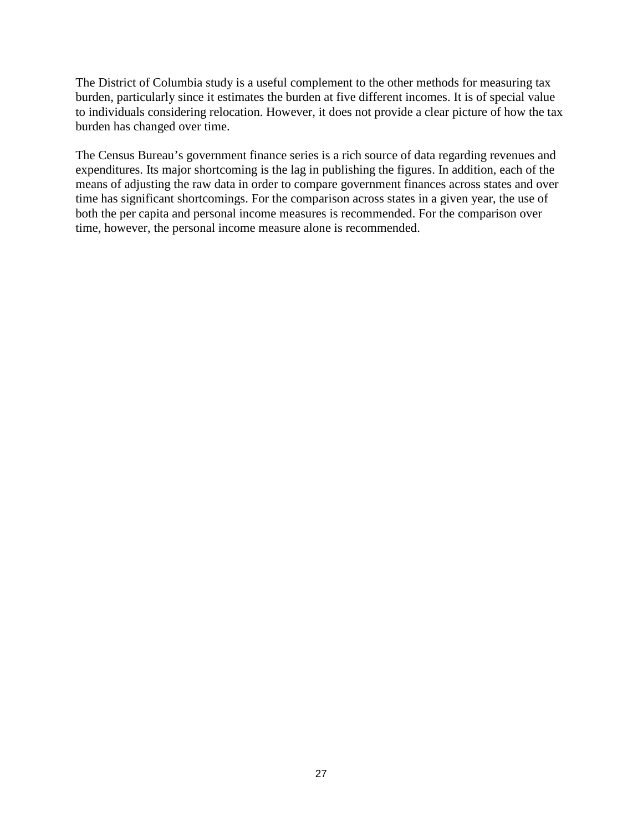The District of Columbia study is a useful complement to the other methods for measuring tax burden, particularly since it estimates the burden at five different incomes. It is of special value to individuals considering relocation. However, it does not provide a clear picture of how the tax burden has changed over time.

The Census Bureau's government finance series is a rich source of data regarding revenues and expenditures. Its major shortcoming is the lag in publishing the figures. In addition, each of the means of adjusting the raw data in order to compare government finances across states and over time has significant shortcomings. For the comparison across states in a given year, the use of both the per capita and personal income measures is recommended. For the comparison over time, however, the personal income measure alone is recommended.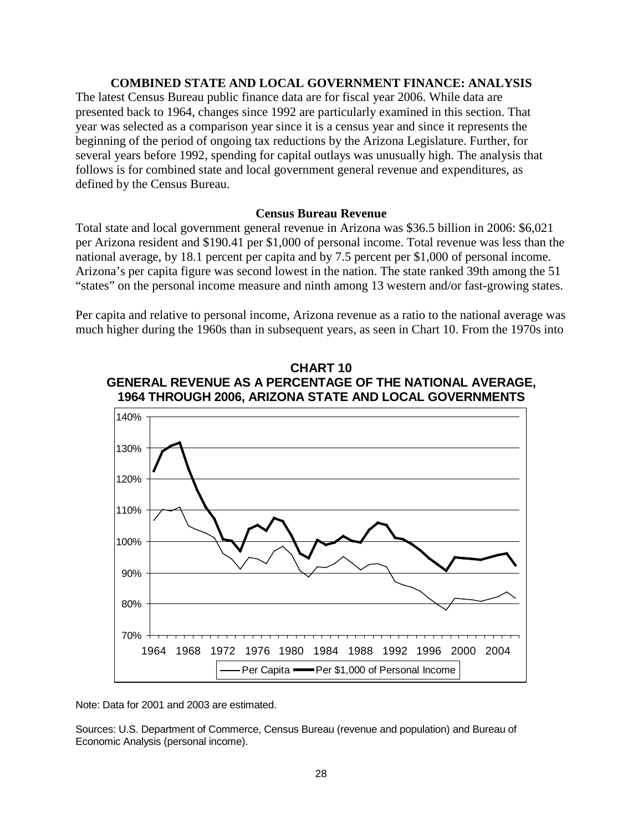#### **COMBINED STATE AND LOCAL GOVERNMENT FINANCE: ANALYSIS**

The latest Census Bureau public finance data are for fiscal year 2006. While data are presented back to 1964, changes since 1992 are particularly examined in this section. That year was selected as a comparison year since it is a census year and since it represents the beginning of the period of ongoing tax reductions by the Arizona Legislature. Further, for several years before 1992, spending for capital outlays was unusually high. The analysis that follows is for combined state and local government general revenue and expenditures, as defined by the Census Bureau.

#### **Census Bureau Revenue**

Total state and local government general revenue in Arizona was \$36.5 billion in 2006: \$6,021 per Arizona resident and \$190.41 per \$1,000 of personal income. Total revenue was less than the national average, by 18.1 percent per capita and by 7.5 percent per \$1,000 of personal income. Arizona's per capita figure was second lowest in the nation. The state ranked 39th among the 51 "states" on the personal income measure and ninth among 13 western and/or fast-growing states.

Per capita and relative to personal income, Arizona revenue as a ratio to the national average was much higher during the 1960s than in subsequent years, as seen in Chart 10. From the 1970s into



**CHART 10 GENERAL REVENUE AS A PERCENTAGE OF THE NATIONAL AVERAGE,**

Note: Data for 2001 and 2003 are estimated.

Sources: U.S. Department of Commerce, Census Bureau (revenue and population) and Bureau of Economic Analysis (personal income).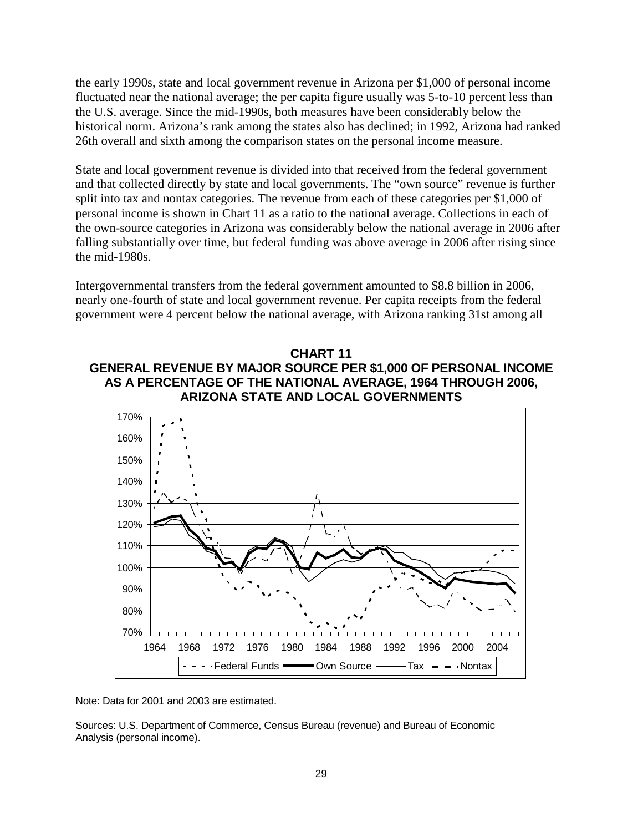the early 1990s, state and local government revenue in Arizona per \$1,000 of personal income fluctuated near the national average; the per capita figure usually was 5-to-10 percent less than the U.S. average. Since the mid-1990s, both measures have been considerably below the historical norm. Arizona's rank among the states also has declined; in 1992, Arizona had ranked 26th overall and sixth among the comparison states on the personal income measure.

State and local government revenue is divided into that received from the federal government and that collected directly by state and local governments. The "own source" revenue is further split into tax and nontax categories. The revenue from each of these categories per \$1,000 of personal income is shown in Chart 11 as a ratio to the national average. Collections in each of the own-source categories in Arizona was considerably below the national average in 2006 after falling substantially over time, but federal funding was above average in 2006 after rising since the mid-1980s.

Intergovernmental transfers from the federal government amounted to \$8.8 billion in 2006, nearly one-fourth of state and local government revenue. Per capita receipts from the federal government were 4 percent below the national average, with Arizona ranking 31st among all

# **CHART 11 GENERAL REVENUE BY MAJOR SOURCE PER \$1,000 OF PERSONAL INCOME AS A PERCENTAGE OF THE NATIONAL AVERAGE, 1964 THROUGH 2006, ARIZONA STATE AND LOCAL GOVERNMENTS**



Note: Data for 2001 and 2003 are estimated.

Sources: U.S. Department of Commerce, Census Bureau (revenue) and Bureau of Economic Analysis (personal income).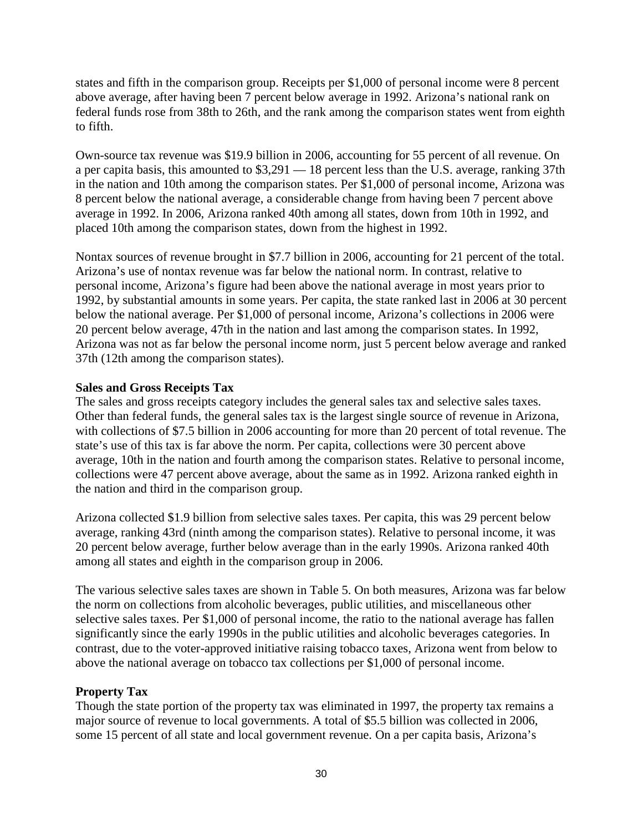states and fifth in the comparison group. Receipts per \$1,000 of personal income were 8 percent above average, after having been 7 percent below average in 1992. Arizona's national rank on federal funds rose from 38th to 26th, and the rank among the comparison states went from eighth to fifth.

Own-source tax revenue was \$19.9 billion in 2006, accounting for 55 percent of all revenue. On a per capita basis, this amounted to \$3,291 — 18 percent less than the U.S. average, ranking 37th in the nation and 10th among the comparison states. Per \$1,000 of personal income, Arizona was 8 percent below the national average, a considerable change from having been 7 percent above average in 1992. In 2006, Arizona ranked 40th among all states, down from 10th in 1992, and placed 10th among the comparison states, down from the highest in 1992.

Nontax sources of revenue brought in \$7.7 billion in 2006, accounting for 21 percent of the total. Arizona's use of nontax revenue was far below the national norm. In contrast, relative to personal income, Arizona's figure had been above the national average in most years prior to 1992, by substantial amounts in some years. Per capita, the state ranked last in 2006 at 30 percent below the national average. Per \$1,000 of personal income, Arizona's collections in 2006 were 20 percent below average, 47th in the nation and last among the comparison states. In 1992, Arizona was not as far below the personal income norm, just 5 percent below average and ranked 37th (12th among the comparison states).

# **Sales and Gross Receipts Tax**

The sales and gross receipts category includes the general sales tax and selective sales taxes. Other than federal funds, the general sales tax is the largest single source of revenue in Arizona, with collections of \$7.5 billion in 2006 accounting for more than 20 percent of total revenue. The state's use of this tax is far above the norm. Per capita, collections were 30 percent above average, 10th in the nation and fourth among the comparison states. Relative to personal income, collections were 47 percent above average, about the same as in 1992. Arizona ranked eighth in the nation and third in the comparison group.

Arizona collected \$1.9 billion from selective sales taxes. Per capita, this was 29 percent below average, ranking 43rd (ninth among the comparison states). Relative to personal income, it was 20 percent below average, further below average than in the early 1990s. Arizona ranked 40th among all states and eighth in the comparison group in 2006.

The various selective sales taxes are shown in Table 5. On both measures, Arizona was far below the norm on collections from alcoholic beverages, public utilities, and miscellaneous other selective sales taxes. Per \$1,000 of personal income, the ratio to the national average has fallen significantly since the early 1990s in the public utilities and alcoholic beverages categories. In contrast, due to the voter-approved initiative raising tobacco taxes, Arizona went from below to above the national average on tobacco tax collections per \$1,000 of personal income.

### **Property Tax**

Though the state portion of the property tax was eliminated in 1997, the property tax remains a major source of revenue to local governments. A total of \$5.5 billion was collected in 2006, some 15 percent of all state and local government revenue. On a per capita basis, Arizona's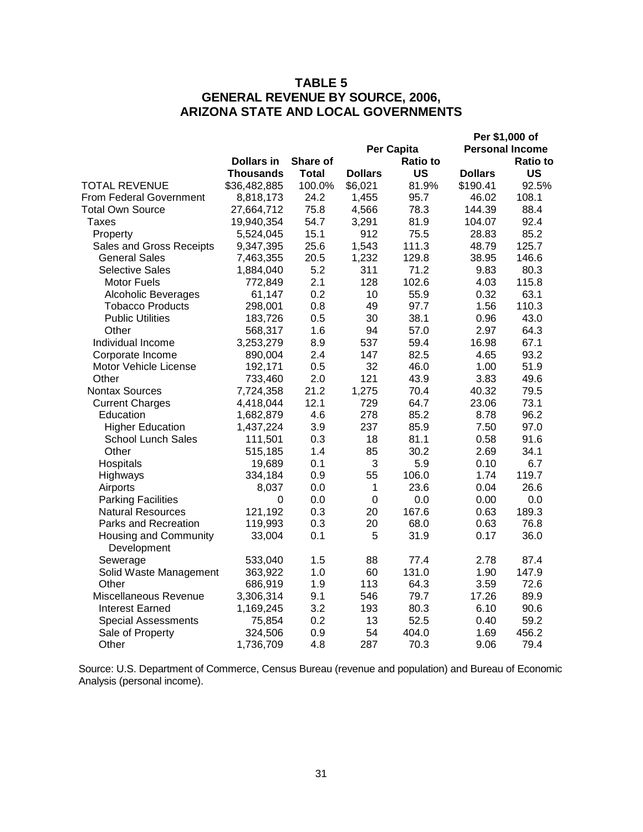# **TABLE 5 GENERAL REVENUE BY SOURCE, 2006, ARIZONA STATE AND LOCAL GOVERNMENTS**

|                                      |                   |              |                  |                 |                | Per \$1,000 of         |
|--------------------------------------|-------------------|--------------|------------------|-----------------|----------------|------------------------|
|                                      |                   |              |                  | Per Capita      |                | <b>Personal Income</b> |
|                                      | <b>Dollars in</b> | Share of     |                  | <b>Ratio to</b> |                | Ratio to               |
|                                      | Thousands         | <b>Total</b> | <b>Dollars</b>   | <b>US</b>       | <b>Dollars</b> | <b>US</b>              |
| <b>TOTAL REVENUE</b>                 | \$36,482,885      | 100.0%       | \$6,021          | 81.9%           | \$190.41       | 92.5%                  |
| From Federal Government              | 8,818,173         | 24.2         | 1,455            | 95.7            | 46.02          | 108.1                  |
| <b>Total Own Source</b>              | 27,664,712        | 75.8         | 4,566            | 78.3            | 144.39         | 88.4                   |
| <b>Taxes</b>                         | 19,940,354        | 54.7         | 3,291            | 81.9            | 104.07         | 92.4                   |
| Property                             | 5,524,045         | 15.1         | 912              | 75.5            | 28.83          | 85.2                   |
| Sales and Gross Receipts             | 9,347,395         | 25.6         | 1,543            | 111.3           | 48.79          | 125.7                  |
| <b>General Sales</b>                 | 7,463,355         | 20.5         | 1,232            | 129.8           | 38.95          | 146.6                  |
| <b>Selective Sales</b>               | 1,884,040         | 5.2          | 311              | 71.2            | 9.83           | 80.3                   |
| <b>Motor Fuels</b>                   | 772,849           | 2.1          | 128              | 102.6           | 4.03           | 115.8                  |
| <b>Alcoholic Beverages</b>           | 61,147            | 0.2          | 10               | 55.9            | 0.32           | 63.1                   |
| <b>Tobacco Products</b>              | 298,001           | 0.8          | 49               | 97.7            | 1.56           | 110.3                  |
| <b>Public Utilities</b>              | 183,726           | 0.5          | 30               | 38.1            | 0.96           | 43.0                   |
| Other                                | 568,317           | 1.6          | 94               | 57.0            | 2.97           | 64.3                   |
| Individual Income                    | 3,253,279         | 8.9          | 537              | 59.4            | 16.98          | 67.1                   |
| Corporate Income                     | 890,004           | 2.4          | 147              | 82.5            | 4.65           | 93.2                   |
| Motor Vehicle License                | 192,171           | 0.5          | 32               | 46.0            | 1.00           | 51.9                   |
| Other                                | 733,460           | 2.0          | 121              | 43.9            | 3.83           | 49.6                   |
| <b>Nontax Sources</b>                | 7,724,358         | 21.2         | 1,275            | 70.4            | 40.32          | 79.5                   |
| <b>Current Charges</b>               | 4,418,044         | 12.1         | 729              | 64.7            | 23.06          | 73.1                   |
| Education                            | 1,682,879         | 4.6          | 278              | 85.2            | 8.78           | 96.2                   |
| <b>Higher Education</b>              | 1,437,224         | 3.9          | 237              | 85.9            | 7.50           | 97.0                   |
| <b>School Lunch Sales</b>            | 111,501           | 0.3          | 18               | 81.1            | 0.58           | 91.6                   |
| Other                                | 515,185           | 1.4          | 85               | 30.2            | 2.69           | 34.1                   |
| Hospitals                            | 19,689            | 0.1          | 3                | 5.9             | 0.10           | 6.7                    |
| Highways                             | 334,184           | 0.9          | 55               | 106.0           | 1.74           | 119.7                  |
| Airports                             | 8,037             | 0.0          | 1                | 23.6            | 0.04           | 26.6                   |
| <b>Parking Facilities</b>            | 0                 | 0.0          | $\boldsymbol{0}$ | 0.0             | 0.00           | 0.0                    |
| <b>Natural Resources</b>             | 121,192           | 0.3          | 20               | 167.6           | 0.63           | 189.3                  |
| Parks and Recreation                 | 119,993           | 0.3          | 20               | 68.0            | 0.63           | 76.8                   |
| Housing and Community<br>Development | 33,004            | 0.1          | 5                | 31.9            | 0.17           | 36.0                   |
| Sewerage                             | 533,040           | 1.5          | 88               | 77.4            | 2.78           | 87.4                   |
| Solid Waste Management               | 363,922           | 1.0          | 60               | 131.0           | 1.90           | 147.9                  |
| Other                                | 686,919           | 1.9          | 113              | 64.3            | 3.59           | 72.6                   |
| Miscellaneous Revenue                | 3,306,314         | 9.1          | 546              | 79.7            | 17.26          | 89.9                   |
| <b>Interest Earned</b>               | 1,169,245         | 3.2          | 193              | 80.3            | 6.10           | 90.6                   |
| <b>Special Assessments</b>           | 75,854            | 0.2          | 13               | 52.5            | 0.40           | 59.2                   |
| Sale of Property                     | 324,506           | 0.9          | 54               | 404.0           | 1.69           | 456.2                  |
| Other                                | 1,736,709         | 4.8          | 287              | 70.3            | 9.06           | 79.4                   |

Source: U.S. Department of Commerce, Census Bureau (revenue and population) and Bureau of Economic Analysis (personal income).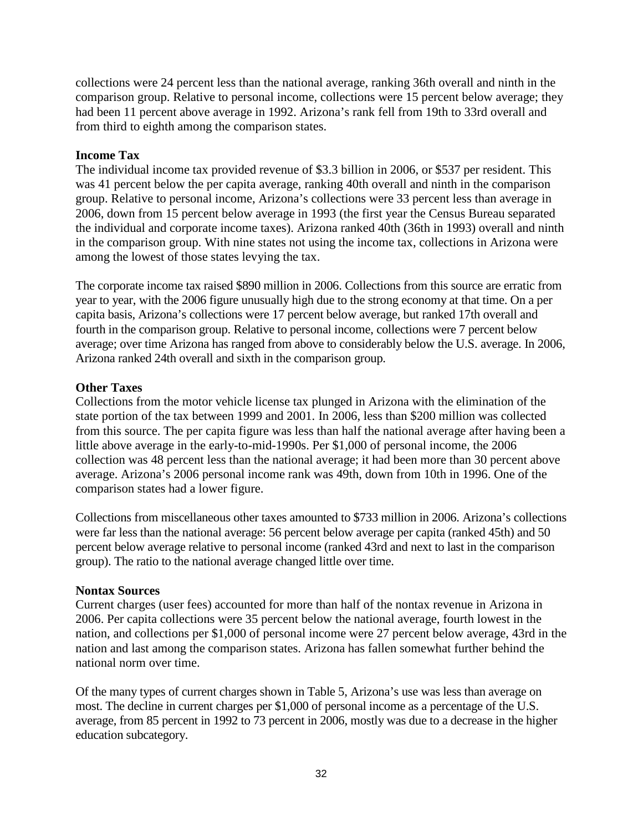collections were 24 percent less than the national average, ranking 36th overall and ninth in the comparison group. Relative to personal income, collections were 15 percent below average; they had been 11 percent above average in 1992. Arizona's rank fell from 19th to 33rd overall and from third to eighth among the comparison states.

## **Income Tax**

The individual income tax provided revenue of \$3.3 billion in 2006, or \$537 per resident. This was 41 percent below the per capita average, ranking 40th overall and ninth in the comparison group. Relative to personal income, Arizona's collections were 33 percent less than average in 2006, down from 15 percent below average in 1993 (the first year the Census Bureau separated the individual and corporate income taxes). Arizona ranked 40th (36th in 1993) overall and ninth in the comparison group. With nine states not using the income tax, collections in Arizona were among the lowest of those states levying the tax.

The corporate income tax raised \$890 million in 2006. Collections from this source are erratic from year to year, with the 2006 figure unusually high due to the strong economy at that time. On a per capita basis, Arizona's collections were 17 percent below average, but ranked 17th overall and fourth in the comparison group. Relative to personal income, collections were 7 percent below average; over time Arizona has ranged from above to considerably below the U.S. average. In 2006, Arizona ranked 24th overall and sixth in the comparison group.

# **Other Taxes**

Collections from the motor vehicle license tax plunged in Arizona with the elimination of the state portion of the tax between 1999 and 2001. In 2006, less than \$200 million was collected from this source. The per capita figure was less than half the national average after having been a little above average in the early-to-mid-1990s. Per \$1,000 of personal income, the 2006 collection was 48 percent less than the national average; it had been more than 30 percent above average. Arizona's 2006 personal income rank was 49th, down from 10th in 1996. One of the comparison states had a lower figure.

Collections from miscellaneous other taxes amounted to \$733 million in 2006. Arizona's collections were far less than the national average: 56 percent below average per capita (ranked 45th) and 50 percent below average relative to personal income (ranked 43rd and next to last in the comparison group). The ratio to the national average changed little over time.

### **Nontax Sources**

Current charges (user fees) accounted for more than half of the nontax revenue in Arizona in 2006. Per capita collections were 35 percent below the national average, fourth lowest in the nation, and collections per \$1,000 of personal income were 27 percent below average, 43rd in the nation and last among the comparison states. Arizona has fallen somewhat further behind the national norm over time.

Of the many types of current charges shown in Table 5, Arizona's use was less than average on most. The decline in current charges per \$1,000 of personal income as a percentage of the U.S. average, from 85 percent in 1992 to 73 percent in 2006, mostly was due to a decrease in the higher education subcategory.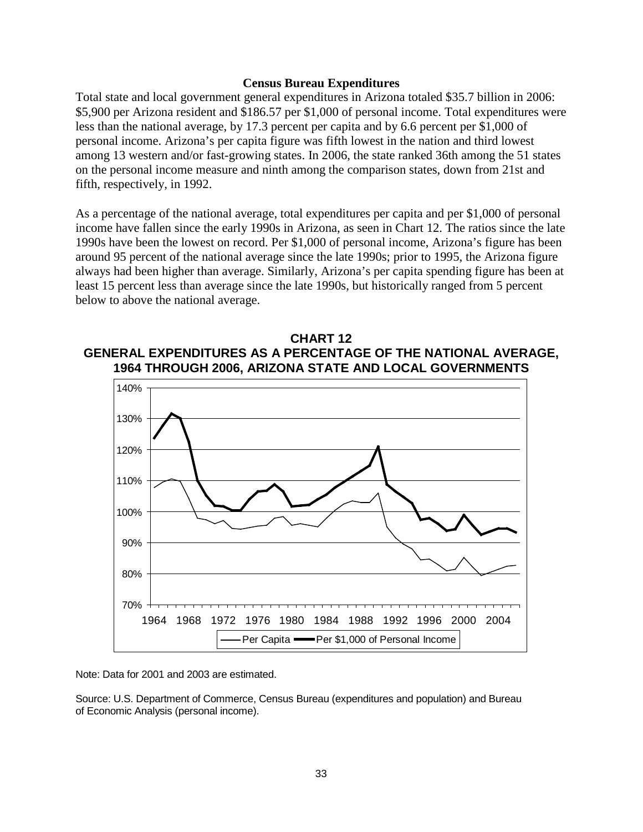#### **Census Bureau Expenditures**

Total state and local government general expenditures in Arizona totaled \$35.7 billion in 2006: \$5,900 per Arizona resident and \$186.57 per \$1,000 of personal income. Total expenditures were less than the national average, by 17.3 percent per capita and by 6.6 percent per \$1,000 of personal income. Arizona's per capita figure was fifth lowest in the nation and third lowest among 13 western and/or fast-growing states. In 2006, the state ranked 36th among the 51 states on the personal income measure and ninth among the comparison states, down from 21st and fifth, respectively, in 1992.

As a percentage of the national average, total expenditures per capita and per \$1,000 of personal income have fallen since the early 1990s in Arizona, as seen in Chart 12. The ratios since the late 1990s have been the lowest on record. Per \$1,000 of personal income, Arizona's figure has been around 95 percent of the national average since the late 1990s; prior to 1995, the Arizona figure always had been higher than average. Similarly, Arizona's per capita spending figure has been at least 15 percent less than average since the late 1990s, but historically ranged from 5 percent below to above the national average.





Note: Data for 2001 and 2003 are estimated.

Source: U.S. Department of Commerce, Census Bureau (expenditures and population) and Bureau of Economic Analysis (personal income).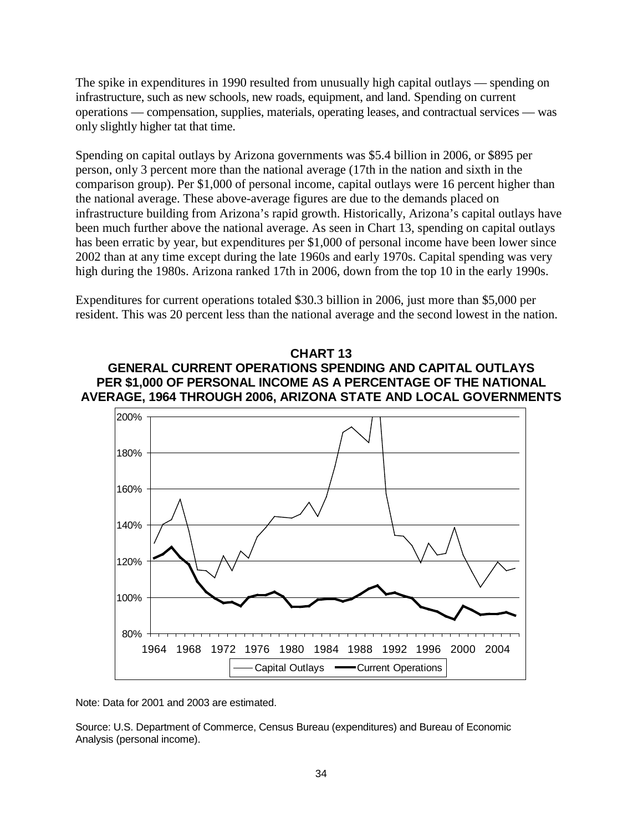The spike in expenditures in 1990 resulted from unusually high capital outlays — spending on infrastructure, such as new schools, new roads, equipment, and land. Spending on current operations — compensation, supplies, materials, operating leases, and contractual services — was only slightly higher tat that time.

Spending on capital outlays by Arizona governments was \$5.4 billion in 2006, or \$895 per person, only 3 percent more than the national average (17th in the nation and sixth in the comparison group). Per \$1,000 of personal income, capital outlays were 16 percent higher than the national average. These above-average figures are due to the demands placed on infrastructure building from Arizona's rapid growth. Historically, Arizona's capital outlays have been much further above the national average. As seen in Chart 13, spending on capital outlays has been erratic by year, but expenditures per \$1,000 of personal income have been lower since 2002 than at any time except during the late 1960s and early 1970s. Capital spending was very high during the 1980s. Arizona ranked 17th in 2006, down from the top 10 in the early 1990s.

Expenditures for current operations totaled \$30.3 billion in 2006, just more than \$5,000 per resident. This was 20 percent less than the national average and the second lowest in the nation.

# **CHART 13 GENERAL CURRENT OPERATIONS SPENDING AND CAPITAL OUTLAYS PER \$1,000 OF PERSONAL INCOME AS A PERCENTAGE OF THE NATIONAL AVERAGE, 1964 THROUGH 2006, ARIZONA STATE AND LOCAL GOVERNMENTS**



Note: Data for 2001 and 2003 are estimated.

Source: U.S. Department of Commerce, Census Bureau (expenditures) and Bureau of Economic Analysis (personal income).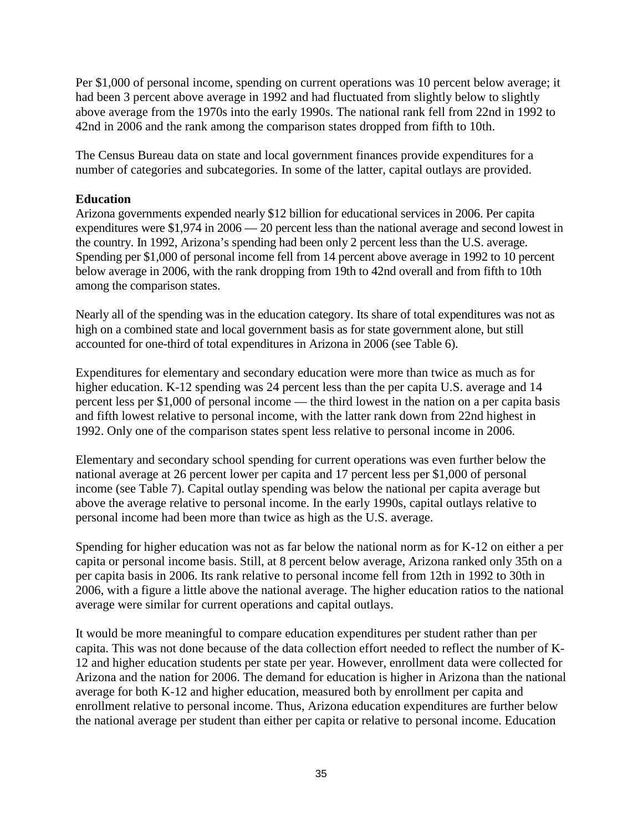Per \$1,000 of personal income, spending on current operations was 10 percent below average; it had been 3 percent above average in 1992 and had fluctuated from slightly below to slightly above average from the 1970s into the early 1990s. The national rank fell from 22nd in 1992 to 42nd in 2006 and the rank among the comparison states dropped from fifth to 10th.

The Census Bureau data on state and local government finances provide expenditures for a number of categories and subcategories. In some of the latter, capital outlays are provided.

# **Education**

Arizona governments expended nearly \$12 billion for educational services in 2006. Per capita expenditures were \$1,974 in 2006 — 20 percent less than the national average and second lowest in the country. In 1992, Arizona's spending had been only 2 percent less than the U.S. average. Spending per \$1,000 of personal income fell from 14 percent above average in 1992 to 10 percent below average in 2006, with the rank dropping from 19th to 42nd overall and from fifth to 10th among the comparison states.

Nearly all of the spending was in the education category. Its share of total expenditures was not as high on a combined state and local government basis as for state government alone, but still accounted for one-third of total expenditures in Arizona in 2006 (see Table 6).

Expenditures for elementary and secondary education were more than twice as much as for higher education. K-12 spending was 24 percent less than the per capita U.S. average and 14 percent less per \$1,000 of personal income — the third lowest in the nation on a per capita basis and fifth lowest relative to personal income, with the latter rank down from 22nd highest in 1992. Only one of the comparison states spent less relative to personal income in 2006.

Elementary and secondary school spending for current operations was even further below the national average at 26 percent lower per capita and 17 percent less per \$1,000 of personal income (see Table 7). Capital outlay spending was below the national per capita average but above the average relative to personal income. In the early 1990s, capital outlays relative to personal income had been more than twice as high as the U.S. average.

Spending for higher education was not as far below the national norm as for K-12 on either a per capita or personal income basis. Still, at 8 percent below average, Arizona ranked only 35th on a per capita basis in 2006. Its rank relative to personal income fell from 12th in 1992 to 30th in 2006, with a figure a little above the national average. The higher education ratios to the national average were similar for current operations and capital outlays.

It would be more meaningful to compare education expenditures per student rather than per capita. This was not done because of the data collection effort needed to reflect the number of K-12 and higher education students per state per year. However, enrollment data were collected for Arizona and the nation for 2006. The demand for education is higher in Arizona than the national average for both K-12 and higher education, measured both by enrollment per capita and enrollment relative to personal income. Thus, Arizona education expenditures are further below the national average per student than either per capita or relative to personal income. Education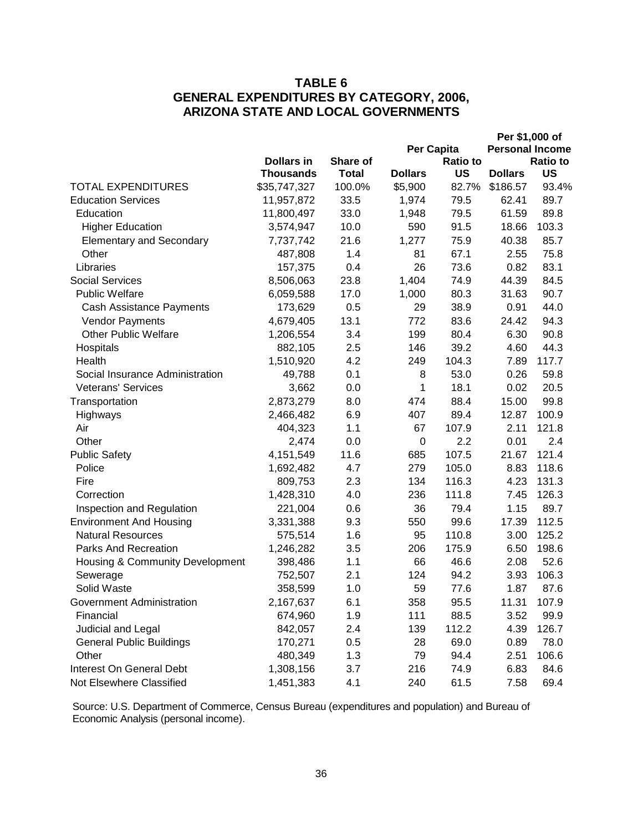# **TABLE 6 GENERAL EXPENDITURES BY CATEGORY, 2006, ARIZONA STATE AND LOCAL GOVERNMENTS**

|                                 |                   |                        |                |                 | Per \$1,000 of         |                 |
|---------------------------------|-------------------|------------------------|----------------|-----------------|------------------------|-----------------|
|                                 |                   |                        | Per Capita     |                 | <b>Personal Income</b> |                 |
|                                 | <b>Dollars in</b> | Share of               |                | <b>Ratio to</b> |                        | <b>Ratio to</b> |
| <b>TOTAL EXPENDITURES</b>       | Thousands         | <b>Total</b><br>100.0% | <b>Dollars</b> | US              | <b>Dollars</b>         | US              |
|                                 | \$35,747,327      |                        | \$5,900        | 82.7%           | \$186.57               | 93.4%           |
| <b>Education Services</b>       | 11,957,872        | 33.5                   | 1,974          | 79.5            | 62.41                  | 89.7            |
| Education                       | 11,800,497        | 33.0                   | 1,948          | 79.5            | 61.59                  | 89.8            |
| <b>Higher Education</b>         | 3,574,947         | 10.0                   | 590            | 91.5            | 18.66                  | 103.3           |
| <b>Elementary and Secondary</b> | 7,737,742         | 21.6                   | 1,277          | 75.9            | 40.38                  | 85.7            |
| Other                           | 487,808           | 1.4                    | 81             | 67.1            | 2.55                   | 75.8            |
| Libraries                       | 157,375           | 0.4                    | 26             | 73.6            | 0.82                   | 83.1            |
| <b>Social Services</b>          | 8,506,063         | 23.8                   | 1,404          | 74.9            | 44.39                  | 84.5            |
| <b>Public Welfare</b>           | 6,059,588         | 17.0                   | 1,000          | 80.3            | 31.63                  | 90.7            |
| Cash Assistance Payments        | 173,629           | 0.5                    | 29             | 38.9            | 0.91                   | 44.0            |
| Vendor Payments                 | 4,679,405         | 13.1                   | 772            | 83.6            | 24.42                  | 94.3            |
| <b>Other Public Welfare</b>     | 1,206,554         | 3.4                    | 199            | 80.4            | 6.30                   | 90.8            |
| Hospitals                       | 882,105           | 2.5                    | 146            | 39.2            | 4.60                   | 44.3            |
| Health                          | 1,510,920         | 4.2                    | 249            | 104.3           | 7.89                   | 117.7           |
| Social Insurance Administration | 49,788            | 0.1                    | 8              | 53.0            | 0.26                   | 59.8            |
| <b>Veterans' Services</b>       | 3,662             | 0.0                    | 1              | 18.1            | 0.02                   | 20.5            |
| Transportation                  | 2,873,279         | 8.0                    | 474            | 88.4            | 15.00                  | 99.8            |
| Highways                        | 2,466,482         | 6.9                    | 407            | 89.4            | 12.87                  | 100.9           |
| Air                             | 404,323           | 1.1                    | 67             | 107.9           | 2.11                   | 121.8           |
| Other                           | 2,474             | 0.0                    | $\mathbf 0$    | 2.2             | 0.01                   | 2.4             |
| <b>Public Safety</b>            | 4,151,549         | 11.6                   | 685            | 107.5           | 21.67                  | 121.4           |
| Police                          | 1,692,482         | 4.7                    | 279            | 105.0           | 8.83                   | 118.6           |
| Fire                            | 809,753           | 2.3                    | 134            | 116.3           | 4.23                   | 131.3           |
| Correction                      | 1,428,310         | 4.0                    | 236            | 111.8           | 7.45                   | 126.3           |
| Inspection and Regulation       | 221,004           | 0.6                    | 36             | 79.4            | 1.15                   | 89.7            |
| <b>Environment And Housing</b>  | 3,331,388         | 9.3                    | 550            | 99.6            | 17.39                  | 112.5           |
| <b>Natural Resources</b>        | 575,514           | 1.6                    | 95             | 110.8           | 3.00                   | 125.2           |
| <b>Parks And Recreation</b>     | 1,246,282         | 3.5                    | 206            | 175.9           | 6.50                   | 198.6           |
| Housing & Community Development | 398,486           | 1.1                    | 66             | 46.6            | 2.08                   | 52.6            |
| Sewerage                        | 752,507           | 2.1                    | 124            | 94.2            | 3.93                   | 106.3           |
| Solid Waste                     | 358,599           | 1.0                    | 59             | 77.6            | 1.87                   | 87.6            |
| Government Administration       | 2,167,637         | 6.1                    | 358            | 95.5            | 11.31                  | 107.9           |
| Financial                       | 674,960           | 1.9                    | 111            | 88.5            | 3.52                   | 99.9            |
| Judicial and Legal              | 842,057           | 2.4                    | 139            | 112.2           | 4.39                   | 126.7           |
| <b>General Public Buildings</b> | 170,271           | 0.5                    | 28             | 69.0            | 0.89                   | 78.0            |
| Other                           | 480,349           | 1.3                    | 79             | 94.4            | 2.51                   | 106.6           |
| Interest On General Debt        | 1,308,156         | 3.7                    | 216            | 74.9            | 6.83                   | 84.6            |
| Not Elsewhere Classified        | 1,451,383         | 4.1                    | 240            | 61.5            | 7.58                   | 69.4            |
|                                 |                   |                        |                |                 |                        |                 |

Source: U.S. Department of Commerce, Census Bureau (expenditures and population) and Bureau of Economic Analysis (personal income).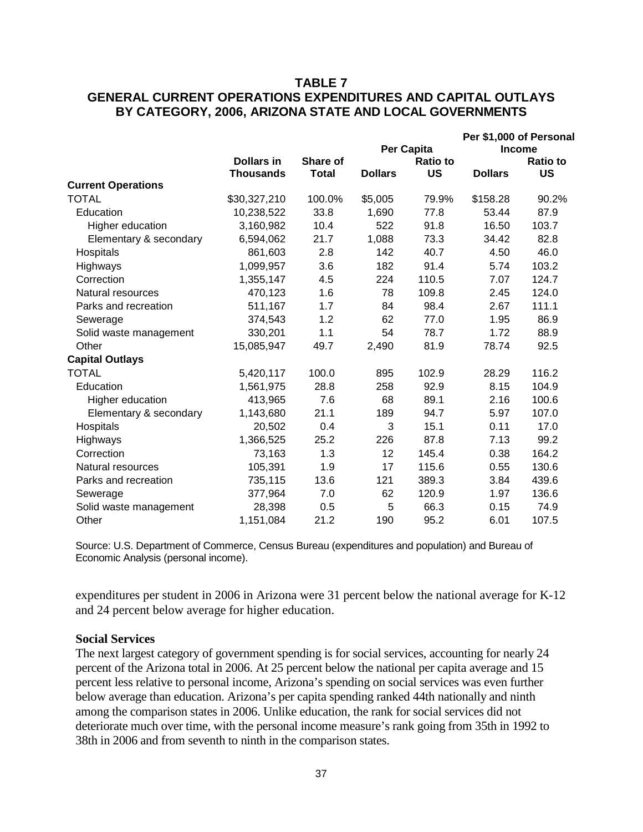# **TABLE 7 GENERAL CURRENT OPERATIONS EXPENDITURES AND CAPITAL OUTLAYS BY CATEGORY, 2006, ARIZONA STATE AND LOCAL GOVERNMENTS**

|                           |                                       |                          |                |                              |                | Per \$1,000 of Personal      |
|---------------------------|---------------------------------------|--------------------------|----------------|------------------------------|----------------|------------------------------|
|                           |                                       |                          |                | <b>Per Capita</b>            |                | <b>Income</b>                |
|                           | <b>Dollars in</b><br><b>Thousands</b> | Share of<br><b>Total</b> | <b>Dollars</b> | <b>Ratio to</b><br><b>US</b> | <b>Dollars</b> | <b>Ratio to</b><br><b>US</b> |
| <b>Current Operations</b> |                                       |                          |                |                              |                |                              |
| <b>TOTAL</b>              | \$30,327,210                          | 100.0%                   | \$5,005        | 79.9%                        | \$158.28       | 90.2%                        |
| Education                 | 10,238,522                            | 33.8                     | 1,690          | 77.8                         | 53.44          | 87.9                         |
| Higher education          | 3,160,982                             | 10.4                     | 522            | 91.8                         | 16.50          | 103.7                        |
| Elementary & secondary    | 6,594,062                             | 21.7                     | 1,088          | 73.3                         | 34.42          | 82.8                         |
| Hospitals                 | 861,603                               | 2.8                      | 142            | 40.7                         | 4.50           | 46.0                         |
| Highways                  | 1,099,957                             | 3.6                      | 182            | 91.4                         | 5.74           | 103.2                        |
| Correction                | 1,355,147                             | 4.5                      | 224            | 110.5                        | 7.07           | 124.7                        |
| Natural resources         | 470,123                               | 1.6                      | 78             | 109.8                        | 2.45           | 124.0                        |
| Parks and recreation      | 511,167                               | 1.7                      | 84             | 98.4                         | 2.67           | 111.1                        |
| Sewerage                  | 374,543                               | 1.2                      | 62             | 77.0                         | 1.95           | 86.9                         |
| Solid waste management    | 330,201                               | 1.1                      | 54             | 78.7                         | 1.72           | 88.9                         |
| Other                     | 15,085,947                            | 49.7                     | 2,490          | 81.9                         | 78.74          | 92.5                         |
| <b>Capital Outlays</b>    |                                       |                          |                |                              |                |                              |
| TOTAL                     | 5,420,117                             | 100.0                    | 895            | 102.9                        | 28.29          | 116.2                        |
| Education                 | 1,561,975                             | 28.8                     | 258            | 92.9                         | 8.15           | 104.9                        |
| Higher education          | 413,965                               | 7.6                      | 68             | 89.1                         | 2.16           | 100.6                        |
| Elementary & secondary    | 1,143,680                             | 21.1                     | 189            | 94.7                         | 5.97           | 107.0                        |
| Hospitals                 | 20,502                                | 0.4                      | 3              | 15.1                         | 0.11           | 17.0                         |
| Highways                  | 1,366,525                             | 25.2                     | 226            | 87.8                         | 7.13           | 99.2                         |
| Correction                | 73,163                                | 1.3                      | 12             | 145.4                        | 0.38           | 164.2                        |
| Natural resources         | 105,391                               | 1.9                      | 17             | 115.6                        | 0.55           | 130.6                        |
| Parks and recreation      | 735,115                               | 13.6                     | 121            | 389.3                        | 3.84           | 439.6                        |
| Sewerage                  | 377,964                               | 7.0                      | 62             | 120.9                        | 1.97           | 136.6                        |
| Solid waste management    | 28,398                                | 0.5                      | 5              | 66.3                         | 0.15           | 74.9                         |
| Other                     | 1,151,084                             | 21.2                     | 190            | 95.2                         | 6.01           | 107.5                        |
|                           |                                       |                          |                |                              |                |                              |

Source: U.S. Department of Commerce, Census Bureau (expenditures and population) and Bureau of Economic Analysis (personal income).

expenditures per student in 2006 in Arizona were 31 percent below the national average for K-12 and 24 percent below average for higher education.

#### **Social Services**

The next largest category of government spending is for social services, accounting for nearly 24 percent of the Arizona total in 2006. At 25 percent below the national per capita average and 15 percent less relative to personal income, Arizona's spending on social services was even further below average than education. Arizona's per capita spending ranked 44th nationally and ninth among the comparison states in 2006. Unlike education, the rank for social services did not deteriorate much over time, with the personal income measure's rank going from 35th in 1992 to 38th in 2006 and from seventh to ninth in the comparison states.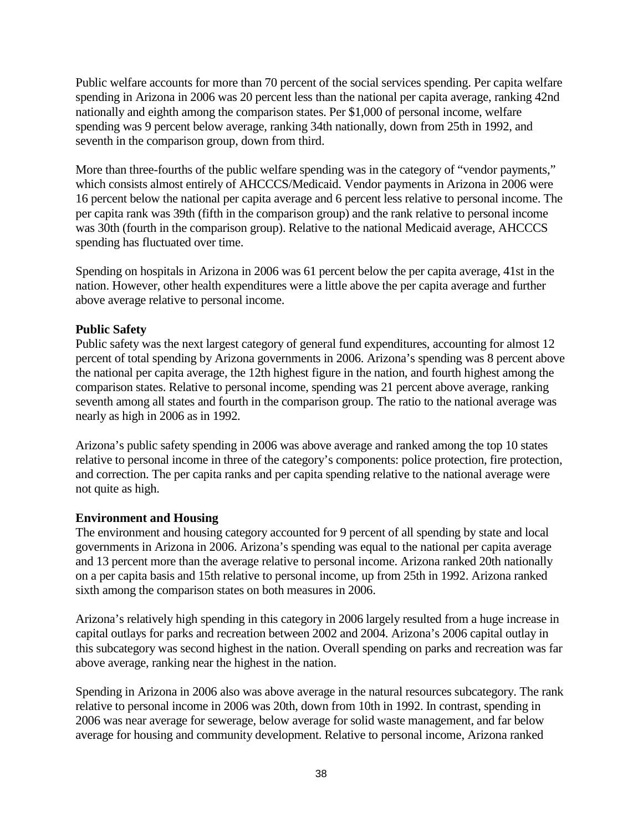Public welfare accounts for more than 70 percent of the social services spending. Per capita welfare spending in Arizona in 2006 was 20 percent less than the national per capita average, ranking 42nd nationally and eighth among the comparison states. Per \$1,000 of personal income, welfare spending was 9 percent below average, ranking 34th nationally, down from 25th in 1992, and seventh in the comparison group, down from third.

More than three-fourths of the public welfare spending was in the category of "vendor payments," which consists almost entirely of AHCCCS/Medicaid. Vendor payments in Arizona in 2006 were 16 percent below the national per capita average and 6 percent less relative to personal income. The per capita rank was 39th (fifth in the comparison group) and the rank relative to personal income was 30th (fourth in the comparison group). Relative to the national Medicaid average, AHCCCS spending has fluctuated over time.

Spending on hospitals in Arizona in 2006 was 61 percent below the per capita average, 41st in the nation. However, other health expenditures were a little above the per capita average and further above average relative to personal income.

# **Public Safety**

Public safety was the next largest category of general fund expenditures, accounting for almost 12 percent of total spending by Arizona governments in 2006. Arizona's spending was 8 percent above the national per capita average, the 12th highest figure in the nation, and fourth highest among the comparison states. Relative to personal income, spending was 21 percent above average, ranking seventh among all states and fourth in the comparison group. The ratio to the national average was nearly as high in 2006 as in 1992.

Arizona's public safety spending in 2006 was above average and ranked among the top 10 states relative to personal income in three of the category's components: police protection, fire protection, and correction. The per capita ranks and per capita spending relative to the national average were not quite as high.

# **Environment and Housing**

The environment and housing category accounted for 9 percent of all spending by state and local governments in Arizona in 2006. Arizona's spending was equal to the national per capita average and 13 percent more than the average relative to personal income. Arizona ranked 20th nationally on a per capita basis and 15th relative to personal income, up from 25th in 1992. Arizona ranked sixth among the comparison states on both measures in 2006.

Arizona's relatively high spending in this category in 2006 largely resulted from a huge increase in capital outlays for parks and recreation between 2002 and 2004. Arizona's 2006 capital outlay in this subcategory was second highest in the nation. Overall spending on parks and recreation was far above average, ranking near the highest in the nation.

Spending in Arizona in 2006 also was above average in the natural resources subcategory. The rank relative to personal income in 2006 was 20th, down from 10th in 1992. In contrast, spending in 2006 was near average for sewerage, below average for solid waste management, and far below average for housing and community development. Relative to personal income, Arizona ranked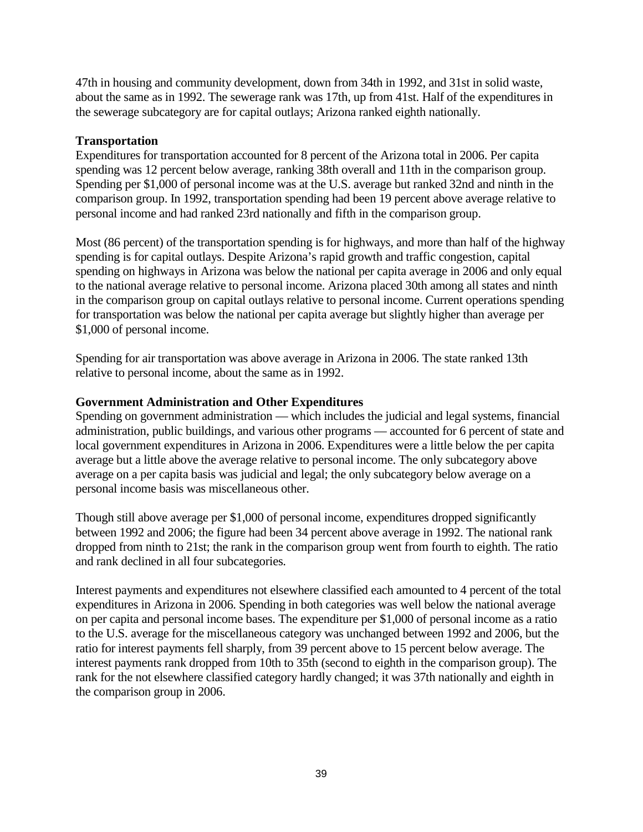47th in housing and community development, down from 34th in 1992, and 31st in solid waste, about the same as in 1992. The sewerage rank was 17th, up from 41st. Half of the expenditures in the sewerage subcategory are for capital outlays; Arizona ranked eighth nationally.

# **Transportation**

Expenditures for transportation accounted for 8 percent of the Arizona total in 2006. Per capita spending was 12 percent below average, ranking 38th overall and 11th in the comparison group. Spending per \$1,000 of personal income was at the U.S. average but ranked 32nd and ninth in the comparison group. In 1992, transportation spending had been 19 percent above average relative to personal income and had ranked 23rd nationally and fifth in the comparison group.

Most (86 percent) of the transportation spending is for highways, and more than half of the highway spending is for capital outlays. Despite Arizona's rapid growth and traffic congestion, capital spending on highways in Arizona was below the national per capita average in 2006 and only equal to the national average relative to personal income. Arizona placed 30th among all states and ninth in the comparison group on capital outlays relative to personal income. Current operations spending for transportation was below the national per capita average but slightly higher than average per \$1,000 of personal income.

Spending for air transportation was above average in Arizona in 2006. The state ranked 13th relative to personal income, about the same as in 1992.

# **Government Administration and Other Expenditures**

Spending on government administration — which includes the judicial and legal systems, financial administration, public buildings, and various other programs — accounted for 6 percent of state and local government expenditures in Arizona in 2006. Expenditures were a little below the per capita average but a little above the average relative to personal income. The only subcategory above average on a per capita basis was judicial and legal; the only subcategory below average on a personal income basis was miscellaneous other.

Though still above average per \$1,000 of personal income, expenditures dropped significantly between 1992 and 2006; the figure had been 34 percent above average in 1992. The national rank dropped from ninth to 21st; the rank in the comparison group went from fourth to eighth. The ratio and rank declined in all four subcategories.

Interest payments and expenditures not elsewhere classified each amounted to 4 percent of the total expenditures in Arizona in 2006. Spending in both categories was well below the national average on per capita and personal income bases. The expenditure per \$1,000 of personal income as a ratio to the U.S. average for the miscellaneous category was unchanged between 1992 and 2006, but the ratio for interest payments fell sharply, from 39 percent above to 15 percent below average. The interest payments rank dropped from 10th to 35th (second to eighth in the comparison group). The rank for the not elsewhere classified category hardly changed; it was 37th nationally and eighth in the comparison group in 2006.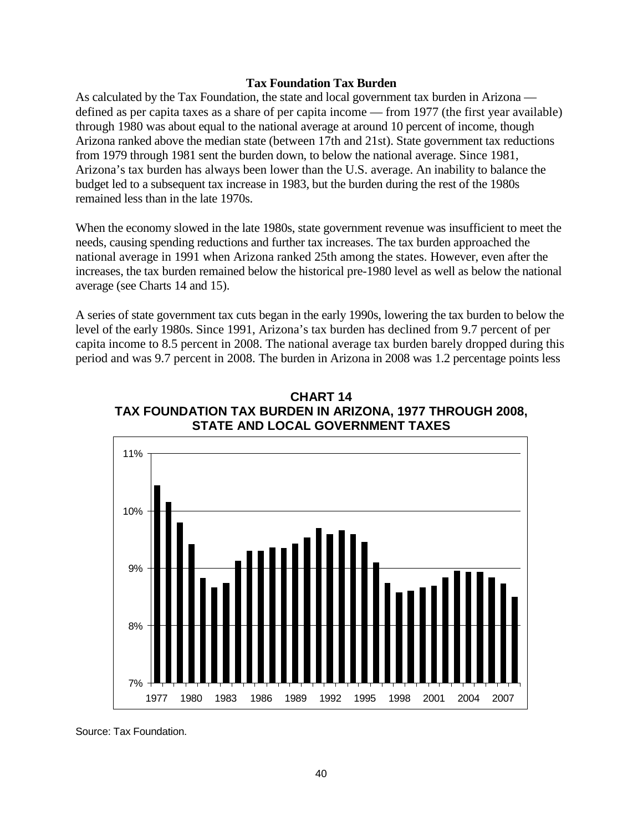#### **Tax Foundation Tax Burden**

As calculated by the Tax Foundation, the state and local government tax burden in Arizona defined as per capita taxes as a share of per capita income — from 1977 (the first year available) through 1980 was about equal to the national average at around 10 percent of income, though Arizona ranked above the median state (between 17th and 21st). State government tax reductions from 1979 through 1981 sent the burden down, to below the national average. Since 1981, Arizona's tax burden has always been lower than the U.S. average. An inability to balance the budget led to a subsequent tax increase in 1983, but the burden during the rest of the 1980s remained less than in the late 1970s.

When the economy slowed in the late 1980s, state government revenue was insufficient to meet the needs, causing spending reductions and further tax increases. The tax burden approached the national average in 1991 when Arizona ranked 25th among the states. However, even after the increases, the tax burden remained below the historical pre-1980 level as well as below the national average (see Charts 14 and 15).

A series of state government tax cuts began in the early 1990s, lowering the tax burden to below the level of the early 1980s. Since 1991, Arizona's tax burden has declined from 9.7 percent of per capita income to 8.5 percent in 2008. The national average tax burden barely dropped during this period and was 9.7 percent in 2008. The burden in Arizona in 2008 was 1.2 percentage points less



**CHART 14 TAX FOUNDATION TAX BURDEN IN ARIZONA, 1977 THROUGH 2008, STATE AND LOCAL GOVERNMENT TAXES**

Source: Tax Foundation.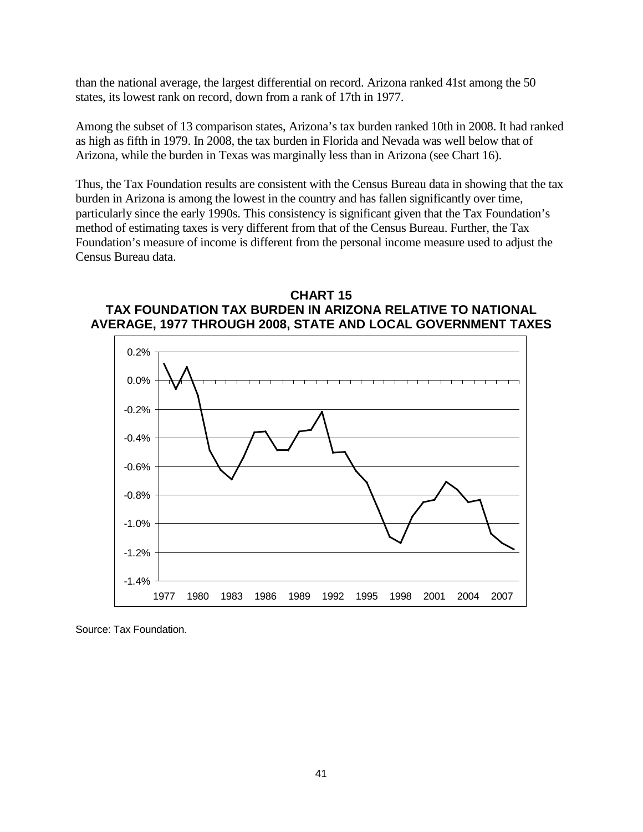than the national average, the largest differential on record. Arizona ranked 41st among the 50 states, its lowest rank on record, down from a rank of 17th in 1977.

Among the subset of 13 comparison states, Arizona's tax burden ranked 10th in 2008. It had ranked as high as fifth in 1979. In 2008, the tax burden in Florida and Nevada was well below that of Arizona, while the burden in Texas was marginally less than in Arizona (see Chart 16).

Thus, the Tax Foundation results are consistent with the Census Bureau data in showing that the tax burden in Arizona is among the lowest in the country and has fallen significantly over time, particularly since the early 1990s. This consistency is significant given that the Tax Foundation's method of estimating taxes is very different from that of the Census Bureau. Further, the Tax Foundation's measure of income is different from the personal income measure used to adjust the Census Bureau data.





Source: Tax Foundation.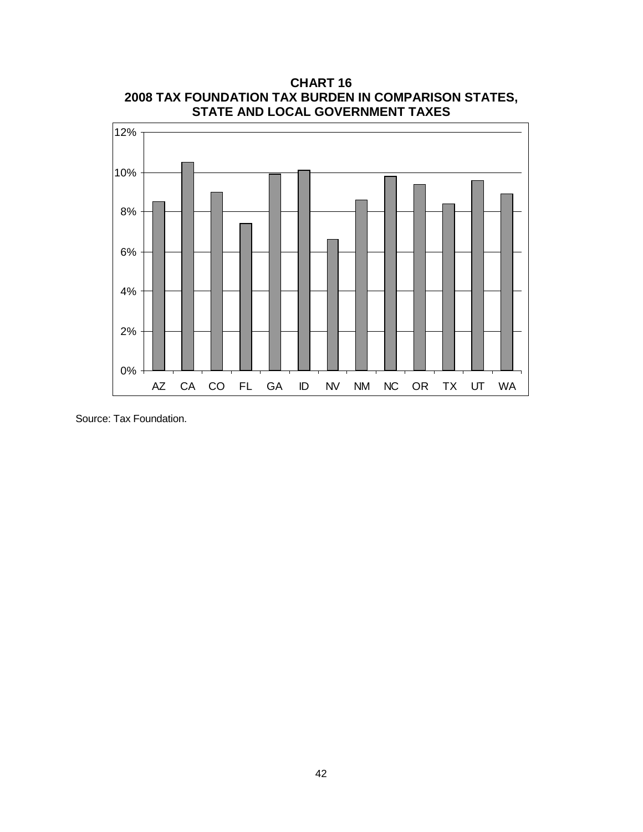

**CHART 16 2008 TAX FOUNDATION TAX BURDEN IN COMPARISON STATES,**

Source: Tax Foundation.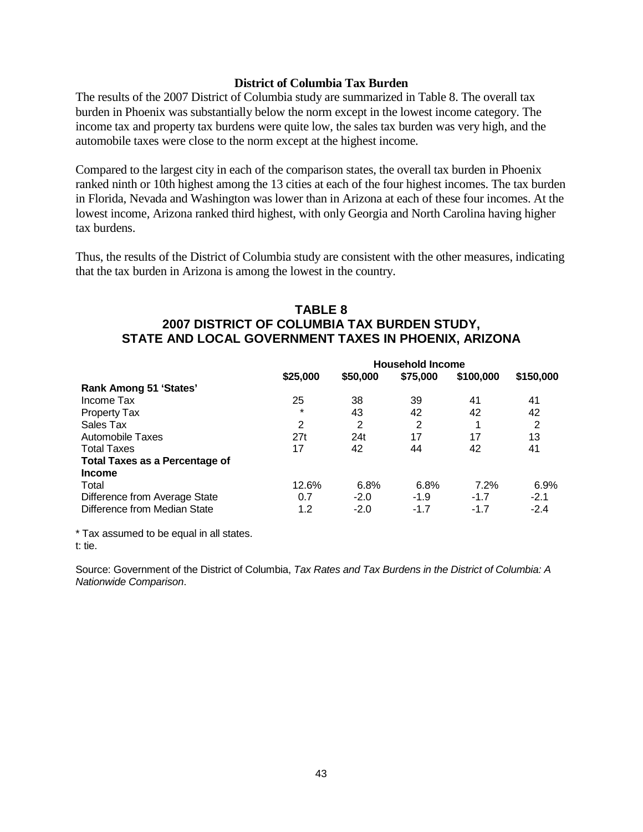#### **District of Columbia Tax Burden**

The results of the 2007 District of Columbia study are summarized in Table 8. The overall tax burden in Phoenix was substantially below the norm except in the lowest income category. The income tax and property tax burdens were quite low, the sales tax burden was very high, and the automobile taxes were close to the norm except at the highest income.

Compared to the largest city in each of the comparison states, the overall tax burden in Phoenix ranked ninth or 10th highest among the 13 cities at each of the four highest incomes. The tax burden in Florida, Nevada and Washington was lower than in Arizona at each of these four incomes. At the lowest income, Arizona ranked third highest, with only Georgia and North Carolina having higher tax burdens.

Thus, the results of the District of Columbia study are consistent with the other measures, indicating that the tax burden in Arizona is among the lowest in the country.

# **TABLE 8 2007 DISTRICT OF COLUMBIA TAX BURDEN STUDY, STATE AND LOCAL GOVERNMENT TAXES IN PHOENIX, ARIZONA**

|                                       | <b>Household Income</b> |          |                |           |           |  |
|---------------------------------------|-------------------------|----------|----------------|-----------|-----------|--|
|                                       | \$25,000                | \$50,000 | \$75,000       | \$100,000 | \$150,000 |  |
| Rank Among 51 'States'                |                         |          |                |           |           |  |
| Income Tax                            | 25                      | 38       | 39             | 41        | 41        |  |
| <b>Property Tax</b>                   | $\star$                 | 43       | 42             | 42        | 42        |  |
| Sales Tax                             | $\overline{2}$          | 2        | $\overline{2}$ |           | 2         |  |
| Automobile Taxes                      | 27t                     | 24t      | 17             | 17        | 13        |  |
| <b>Total Taxes</b>                    | 17                      | 42       | 44             | 42        | 41        |  |
| <b>Total Taxes as a Percentage of</b> |                         |          |                |           |           |  |
| <b>Income</b>                         |                         |          |                |           |           |  |
| Total                                 | 12.6%                   | 6.8%     | 6.8%           | 7.2%      | 6.9%      |  |
| Difference from Average State         | 0.7                     | $-2.0$   | $-1.9$         | $-1.7$    | $-2.1$    |  |
| Difference from Median State          | 1.2                     | $-2.0$   | $-1.7$         | $-1.7$    | $-2.4$    |  |

\* Tax assumed to be equal in all states. t: tie.

Source: Government of the District of Columbia, *Tax Rates and Tax Burdens in the District of Columbia: A Nationwide Comparison*.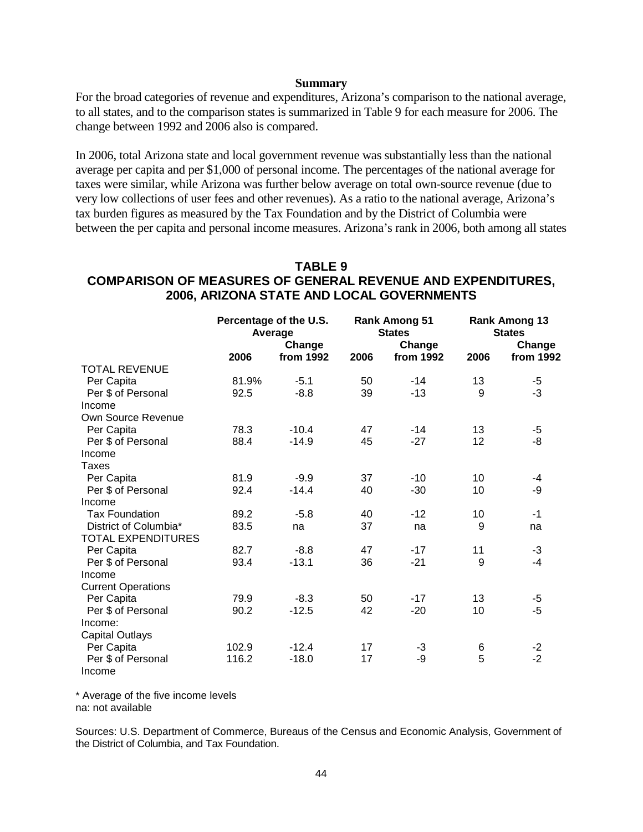#### **Summary**

For the broad categories of revenue and expenditures, Arizona's comparison to the national average, to all states, and to the comparison states is summarized in Table 9 for each measure for 2006. The change between 1992 and 2006 also is compared.

In 2006, total Arizona state and local government revenue was substantially less than the national average per capita and per \$1,000 of personal income. The percentages of the national average for taxes were similar, while Arizona was further below average on total own-source revenue (due to very low collections of user fees and other revenues). As a ratio to the national average, Arizona's tax burden figures as measured by the Tax Foundation and by the District of Columbia were between the per capita and personal income measures. Arizona's rank in 2006, both among all states

## **TABLE 9 COMPARISON OF MEASURES OF GENERAL REVENUE AND EXPENDITURES, 2006, ARIZONA STATE AND LOCAL GOVERNMENTS**

|                           | Percentage of the U.S.<br>Average |                     |      | <b>Rank Among 51</b><br><b>States</b><br>Change | <b>Rank Among 13</b><br><b>States</b> |                     |  |
|---------------------------|-----------------------------------|---------------------|------|-------------------------------------------------|---------------------------------------|---------------------|--|
|                           | 2006                              | Change<br>from 1992 | 2006 | from 1992                                       | 2006                                  | Change<br>from 1992 |  |
| <b>TOTAL REVENUE</b>      |                                   |                     |      |                                                 |                                       |                     |  |
| Per Capita                | 81.9%                             | $-5.1$              | 50   | $-14$                                           | 13                                    | $-5$                |  |
| Per \$ of Personal        | 92.5                              | $-8.8$              | 39   | $-13$                                           | 9                                     | $-3$                |  |
| Income                    |                                   |                     |      |                                                 |                                       |                     |  |
| Own Source Revenue        |                                   |                     |      |                                                 |                                       |                     |  |
| Per Capita                | 78.3                              | $-10.4$             | 47   | $-14$                                           | 13                                    | $-5$                |  |
| Per \$ of Personal        | 88.4                              | $-14.9$             | 45   | $-27$                                           | 12                                    | -8                  |  |
| Income                    |                                   |                     |      |                                                 |                                       |                     |  |
| <b>Taxes</b>              |                                   |                     |      |                                                 |                                       |                     |  |
| Per Capita                | 81.9                              | $-9.9$              | 37   | $-10$                                           | 10                                    | $-4$                |  |
| Per \$ of Personal        | 92.4                              | $-14.4$             | 40   | $-30$                                           | 10                                    | -9                  |  |
| Income                    |                                   |                     |      |                                                 |                                       |                     |  |
| <b>Tax Foundation</b>     | 89.2                              | $-5.8$              | 40   | $-12$                                           | 10                                    | $-1$                |  |
| District of Columbia*     | 83.5                              | na                  | 37   | na                                              | 9                                     | na                  |  |
| <b>TOTAL EXPENDITURES</b> |                                   |                     |      |                                                 |                                       |                     |  |
| Per Capita                | 82.7                              | $-8.8$              | 47   | $-17$                                           | 11                                    | $-3$                |  |
| Per \$ of Personal        | 93.4                              | $-13.1$             | 36   | $-21$                                           | 9                                     | $-4$                |  |
| Income                    |                                   |                     |      |                                                 |                                       |                     |  |
| <b>Current Operations</b> |                                   |                     |      |                                                 |                                       |                     |  |
| Per Capita                | 79.9                              | $-8.3$              | 50   | $-17$                                           | 13                                    | $-5$                |  |
| Per \$ of Personal        | 90.2                              | $-12.5$             | 42   | $-20$                                           | 10                                    | $-5$                |  |
| Income:                   |                                   |                     |      |                                                 |                                       |                     |  |
| <b>Capital Outlays</b>    |                                   |                     |      |                                                 |                                       |                     |  |
| Per Capita                | 102.9                             | $-12.4$             | 17   | -3                                              | 6                                     | $-2$                |  |
| Per \$ of Personal        | 116.2                             | $-18.0$             | 17   | -9                                              | 5                                     | $-2$                |  |
| Income                    |                                   |                     |      |                                                 |                                       |                     |  |

\* Average of the five income levels na: not available

Sources: U.S. Department of Commerce, Bureaus of the Census and Economic Analysis, Government of the District of Columbia, and Tax Foundation.